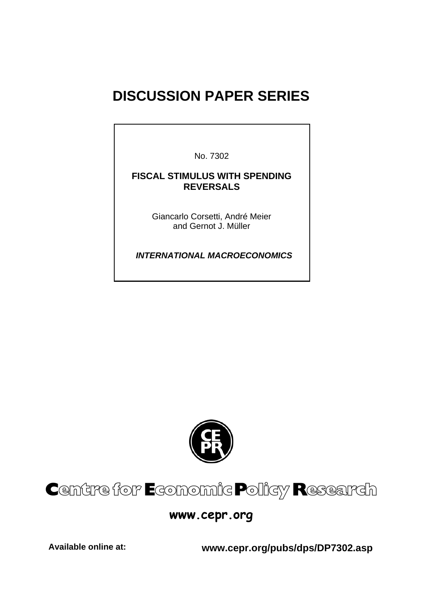# **DISCUSSION PAPER SERIES**

No. 7302

# **FISCAL STIMULUS WITH SPENDING REVERSALS**

Giancarlo Corsetti, André Meier and Gernot J. Müller

 *INTERNATIONAL MACROECONOMICS* 



# Centre for Economic Policy Research

# **www.cepr.org**

**Available online at: www.cepr.org/pubs/dps/DP7302.asp**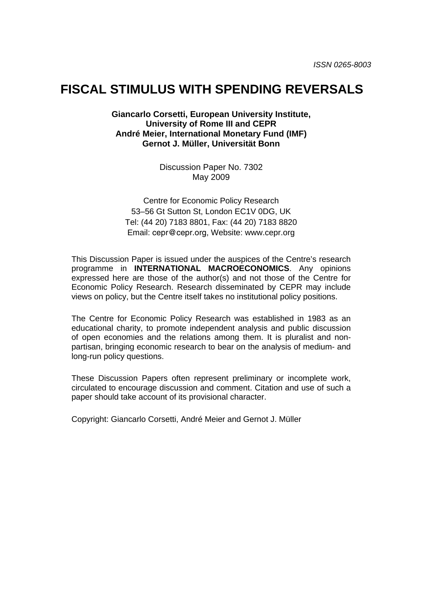# **FISCAL STIMULUS WITH SPENDING REVERSALS**

**Giancarlo Corsetti, European University Institute, University of Rome III and CEPR André Meier, International Monetary Fund (IMF) Gernot J. Müller, Universität Bonn** 

> Discussion Paper No. 7302 May 2009

Centre for Economic Policy Research 53–56 Gt Sutton St, London EC1V 0DG, UK Tel: (44 20) 7183 8801, Fax: (44 20) 7183 8820 Email: cepr@cepr.org, Website: www.cepr.org

This Discussion Paper is issued under the auspices of the Centre's research programme in **INTERNATIONAL MACROECONOMICS**. Any opinions expressed here are those of the author(s) and not those of the Centre for Economic Policy Research. Research disseminated by CEPR may include views on policy, but the Centre itself takes no institutional policy positions.

The Centre for Economic Policy Research was established in 1983 as an educational charity, to promote independent analysis and public discussion of open economies and the relations among them. It is pluralist and nonpartisan, bringing economic research to bear on the analysis of medium- and long-run policy questions.

These Discussion Papers often represent preliminary or incomplete work, circulated to encourage discussion and comment. Citation and use of such a paper should take account of its provisional character.

Copyright: Giancarlo Corsetti, André Meier and Gernot J. Müller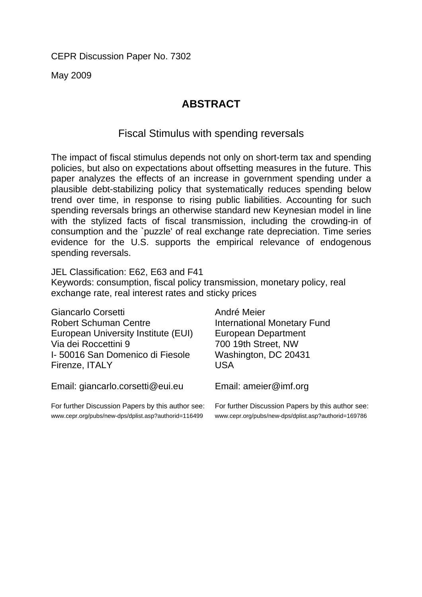CEPR Discussion Paper No. 7302

May 2009

# **ABSTRACT**

# Fiscal Stimulus with spending reversals

The impact of fiscal stimulus depends not only on short-term tax and spending policies, but also on expectations about offsetting measures in the future. This paper analyzes the effects of an increase in government spending under a plausible debt-stabilizing policy that systematically reduces spending below trend over time, in response to rising public liabilities. Accounting for such spending reversals brings an otherwise standard new Keynesian model in line with the stylized facts of fiscal transmission, including the crowding-in of consumption and the `puzzle' of real exchange rate depreciation. Time series evidence for the U.S. supports the empirical relevance of endogenous spending reversals.

JEL Classification: E62, E63 and F41 Keywords: consumption, fiscal policy transmission, monetary policy, real exchange rate, real interest rates and sticky prices

| Giancarlo Corsetti                  | André Meier                        |
|-------------------------------------|------------------------------------|
| <b>Robert Schuman Centre</b>        | <b>International Monetary Fund</b> |
| European University Institute (EUI) | <b>European Department</b>         |
| Via dei Roccettini 9                | 700 19th Street, NW                |
| I-50016 San Domenico di Fiesole     | Washington, DC 20431               |
| Firenze, ITALY                      | <b>USA</b>                         |
| Email: giancarlo.corsetti@eui.eu    | Email: ameier@imf.org              |

For further Discussion Papers by this author see: www.cepr.org/pubs/new-dps/dplist.asp?authorid=116499

For further Discussion Papers by this author see: www.cepr.org/pubs/new-dps/dplist.asp?authorid=169786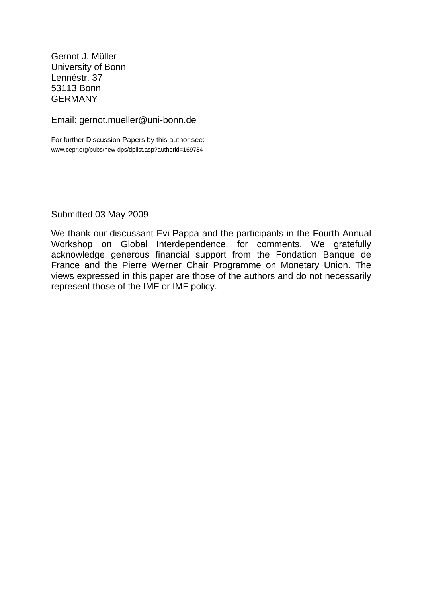Gernot J. Müller University of Bonn Lennéstr. 37 53113 Bonn **GFRMANY** 

Email: gernot.mueller@uni-bonn.de

For further Discussion Papers by this author see: www.cepr.org/pubs/new-dps/dplist.asp?authorid=169784

Submitted 03 May 2009

We thank our discussant Evi Pappa and the participants in the Fourth Annual Workshop on Global Interdependence, for comments. We gratefully acknowledge generous financial support from the Fondation Banque de France and the Pierre Werner Chair Programme on Monetary Union. The views expressed in this paper are those of the authors and do not necessarily represent those of the IMF or IMF policy.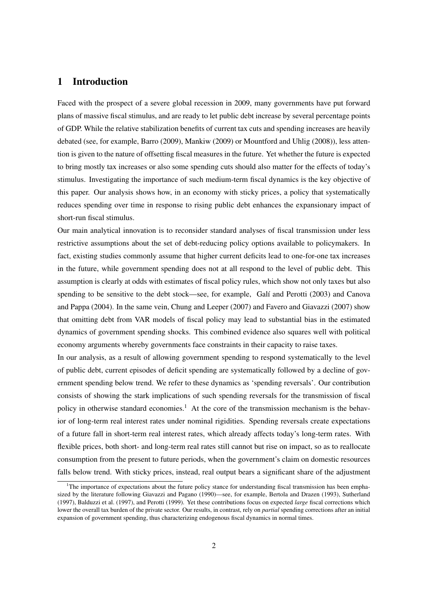# 1 Introduction

Faced with the prospect of a severe global recession in 2009, many governments have put forward plans of massive fiscal stimulus, and are ready to let public debt increase by several percentage points of GDP. While the relative stabilization benefits of current tax cuts and spending increases are heavily debated (see, for example, Barro (2009), Mankiw (2009) or Mountford and Uhlig (2008)), less attention is given to the nature of offsetting fiscal measures in the future. Yet whether the future is expected to bring mostly tax increases or also some spending cuts should also matter for the effects of today's stimulus. Investigating the importance of such medium-term fiscal dynamics is the key objective of this paper. Our analysis shows how, in an economy with sticky prices, a policy that systematically reduces spending over time in response to rising public debt enhances the expansionary impact of short-run fiscal stimulus.

Our main analytical innovation is to reconsider standard analyses of fiscal transmission under less restrictive assumptions about the set of debt-reducing policy options available to policymakers. In fact, existing studies commonly assume that higher current deficits lead to one-for-one tax increases in the future, while government spending does not at all respond to the level of public debt. This assumption is clearly at odds with estimates of fiscal policy rules, which show not only taxes but also spending to be sensitive to the debt stock—see, for example, Galí and Perotti (2003) and Canova and Pappa (2004). In the same vein, Chung and Leeper (2007) and Favero and Giavazzi (2007) show that omitting debt from VAR models of fiscal policy may lead to substantial bias in the estimated dynamics of government spending shocks. This combined evidence also squares well with political economy arguments whereby governments face constraints in their capacity to raise taxes.

In our analysis, as a result of allowing government spending to respond systematically to the level of public debt, current episodes of deficit spending are systematically followed by a decline of government spending below trend. We refer to these dynamics as 'spending reversals'. Our contribution consists of showing the stark implications of such spending reversals for the transmission of fiscal policy in otherwise standard economies.<sup>1</sup> At the core of the transmission mechanism is the behavior of long-term real interest rates under nominal rigidities. Spending reversals create expectations of a future fall in short-term real interest rates, which already affects today's long-term rates. With flexible prices, both short- and long-term real rates still cannot but rise on impact, so as to reallocate consumption from the present to future periods, when the government's claim on domestic resources falls below trend. With sticky prices, instead, real output bears a significant share of the adjustment

<sup>&</sup>lt;sup>1</sup>The importance of expectations about the future policy stance for understanding fiscal transmission has been emphasized by the literature following Giavazzi and Pagano (1990)—see, for example, Bertola and Drazen (1993), Sutherland (1997), Balduzzi et al. (1997), and Perotti (1999). Yet these contributions focus on expected *large* fiscal corrections which lower the overall tax burden of the private sector. Our results, in contrast, rely on *partial* spending corrections after an initial expansion of government spending, thus characterizing endogenous fiscal dynamics in normal times.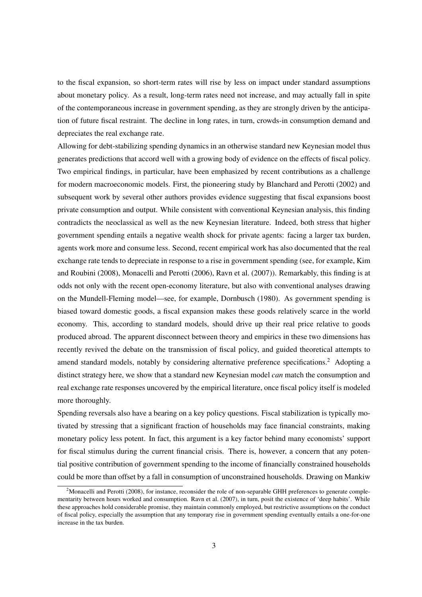to the fiscal expansion, so short-term rates will rise by less on impact under standard assumptions about monetary policy. As a result, long-term rates need not increase, and may actually fall in spite of the contemporaneous increase in government spending, as they are strongly driven by the anticipation of future fiscal restraint. The decline in long rates, in turn, crowds-in consumption demand and depreciates the real exchange rate.

Allowing for debt-stabilizing spending dynamics in an otherwise standard new Keynesian model thus generates predictions that accord well with a growing body of evidence on the effects of fiscal policy. Two empirical findings, in particular, have been emphasized by recent contributions as a challenge for modern macroeconomic models. First, the pioneering study by Blanchard and Perotti (2002) and subsequent work by several other authors provides evidence suggesting that fiscal expansions boost private consumption and output. While consistent with conventional Keynesian analysis, this finding contradicts the neoclassical as well as the new Keynesian literature. Indeed, both stress that higher government spending entails a negative wealth shock for private agents: facing a larger tax burden, agents work more and consume less. Second, recent empirical work has also documented that the real exchange rate tends to depreciate in response to a rise in government spending (see, for example, Kim and Roubini (2008), Monacelli and Perotti (2006), Ravn et al. (2007)). Remarkably, this finding is at odds not only with the recent open-economy literature, but also with conventional analyses drawing on the Mundell-Fleming model—see, for example, Dornbusch (1980). As government spending is biased toward domestic goods, a fiscal expansion makes these goods relatively scarce in the world economy. This, according to standard models, should drive up their real price relative to goods produced abroad. The apparent disconnect between theory and empirics in these two dimensions has recently revived the debate on the transmission of fiscal policy, and guided theoretical attempts to amend standard models, notably by considering alternative preference specifications.<sup>2</sup> Adopting a distinct strategy here, we show that a standard new Keynesian model *can* match the consumption and real exchange rate responses uncovered by the empirical literature, once fiscal policy itself is modeled more thoroughly.

Spending reversals also have a bearing on a key policy questions. Fiscal stabilization is typically motivated by stressing that a significant fraction of households may face financial constraints, making monetary policy less potent. In fact, this argument is a key factor behind many economists' support for fiscal stimulus during the current financial crisis. There is, however, a concern that any potential positive contribution of government spending to the income of financially constrained households could be more than offset by a fall in consumption of unconstrained households. Drawing on Mankiw

<sup>&</sup>lt;sup>2</sup>Monacelli and Perotti (2008), for instance, reconsider the role of non-separable GHH preferences to generate complementarity between hours worked and consumption. Ravn et al. (2007), in turn, posit the existence of 'deep habits'. While these approaches hold considerable promise, they maintain commonly employed, but restrictive assumptions on the conduct of fiscal policy, especially the assumption that any temporary rise in government spending eventually entails a one-for-one increase in the tax burden.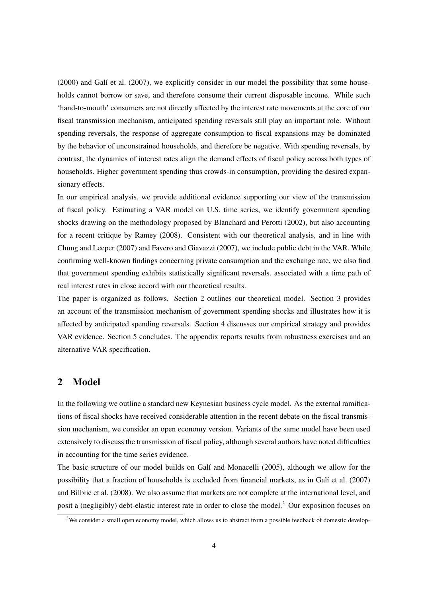$(2000)$  and Galí et al.  $(2007)$ , we explicitly consider in our model the possibility that some households cannot borrow or save, and therefore consume their current disposable income. While such 'hand-to-mouth' consumers are not directly affected by the interest rate movements at the core of our fiscal transmission mechanism, anticipated spending reversals still play an important role. Without spending reversals, the response of aggregate consumption to fiscal expansions may be dominated by the behavior of unconstrained households, and therefore be negative. With spending reversals, by contrast, the dynamics of interest rates align the demand effects of fiscal policy across both types of households. Higher government spending thus crowds-in consumption, providing the desired expansionary effects.

In our empirical analysis, we provide additional evidence supporting our view of the transmission of fiscal policy. Estimating a VAR model on U.S. time series, we identify government spending shocks drawing on the methodology proposed by Blanchard and Perotti (2002), but also accounting for a recent critique by Ramey (2008). Consistent with our theoretical analysis, and in line with Chung and Leeper (2007) and Favero and Giavazzi (2007), we include public debt in the VAR. While confirming well-known findings concerning private consumption and the exchange rate, we also find that government spending exhibits statistically significant reversals, associated with a time path of real interest rates in close accord with our theoretical results.

The paper is organized as follows. Section 2 outlines our theoretical model. Section 3 provides an account of the transmission mechanism of government spending shocks and illustrates how it is affected by anticipated spending reversals. Section 4 discusses our empirical strategy and provides VAR evidence. Section 5 concludes. The appendix reports results from robustness exercises and an alternative VAR specification.

### 2 Model

In the following we outline a standard new Keynesian business cycle model. As the external ramifications of fiscal shocks have received considerable attention in the recent debate on the fiscal transmission mechanism, we consider an open economy version. Variants of the same model have been used extensively to discuss the transmission of fiscal policy, although several authors have noted difficulties in accounting for the time series evidence.

The basic structure of our model builds on Galí and Monacelli (2005), although we allow for the possibility that a fraction of households is excluded from financial markets, as in Galí et al. (2007) and Bilbiie et al. (2008). We also assume that markets are not complete at the international level, and posit a (negligibly) debt-elastic interest rate in order to close the model.<sup>3</sup> Our exposition focuses on

 $3$ We consider a small open economy model, which allows us to abstract from a possible feedback of domestic develop-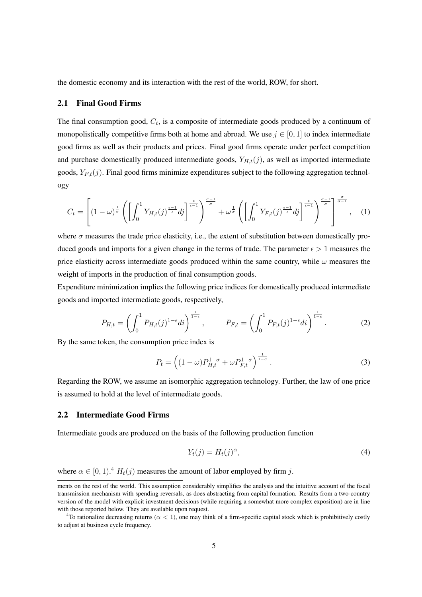the domestic economy and its interaction with the rest of the world, ROW, for short.

#### 2.1 Final Good Firms

The final consumption good,  $C_t$ , is a composite of intermediate goods produced by a continuum of monopolistically competitive firms both at home and abroad. We use  $j \in [0, 1]$  to index intermediate good firms as well as their products and prices. Final good firms operate under perfect competition and purchase domestically produced intermediate goods,  $Y_{H,t}(j)$ , as well as imported intermediate goods,  $Y_{F,t}(j)$ . Final good firms minimize expenditures subject to the following aggregation technology

$$
C_t = \left[ (1 - \omega)^{\frac{1}{\sigma}} \left( \left[ \int_0^1 Y_{H,t}(j)^{\frac{\epsilon - 1}{\epsilon}} dj \right]^{\frac{\epsilon}{\sigma - 1}} \right)^{\frac{\sigma - 1}{\sigma}} + \omega^{\frac{1}{\sigma}} \left( \left[ \int_0^1 Y_{F,t}(j)^{\frac{\epsilon - 1}{\epsilon}} dj \right]^{\frac{\epsilon}{\epsilon - 1}} \right)^{\frac{\sigma - 1}{\sigma}} \right]^{\frac{\sigma}{\sigma - 1}}, \quad (1)
$$

where  $\sigma$  measures the trade price elasticity, i.e., the extent of substitution between domestically produced goods and imports for a given change in the terms of trade. The parameter  $\epsilon > 1$  measures the price elasticity across intermediate goods produced within the same country, while  $\omega$  measures the weight of imports in the production of final consumption goods.

Expenditure minimization implies the following price indices for domestically produced intermediate goods and imported intermediate goods, respectively,

$$
P_{H,t} = \left(\int_0^1 P_{H,t}(j)^{1-\epsilon} di\right)^{\frac{1}{1-\epsilon}}, \qquad P_{F,t} = \left(\int_0^1 P_{F,t}(j)^{1-\epsilon} di\right)^{\frac{1}{1-\epsilon}}.
$$
 (2)

By the same token, the consumption price index is

$$
P_t = \left( (1 - \omega) P_{H,t}^{1-\sigma} + \omega P_{F,t}^{1-\sigma} \right)^{\frac{1}{1-\sigma}}.
$$
\n(3)

Regarding the ROW, we assume an isomorphic aggregation technology. Further, the law of one price is assumed to hold at the level of intermediate goods.

### 2.2 Intermediate Good Firms

Intermediate goods are produced on the basis of the following production function

$$
Y_t(j) = H_t(j)^{\alpha},\tag{4}
$$

where  $\alpha \in [0, 1)$ .<sup>4</sup>  $H_t(j)$  measures the amount of labor employed by firm j.

ments on the rest of the world. This assumption considerably simplifies the analysis and the intuitive account of the fiscal transmission mechanism with spending reversals, as does abstracting from capital formation. Results from a two-country version of the model with explicit investment decisions (while requiring a somewhat more complex exposition) are in line with those reported below. They are available upon request.

<sup>&</sup>lt;sup>4</sup>To rationalize decreasing returns ( $\alpha$  < 1), one may think of a firm-specific capital stock which is prohibitively costly to adjust at business cycle frequency.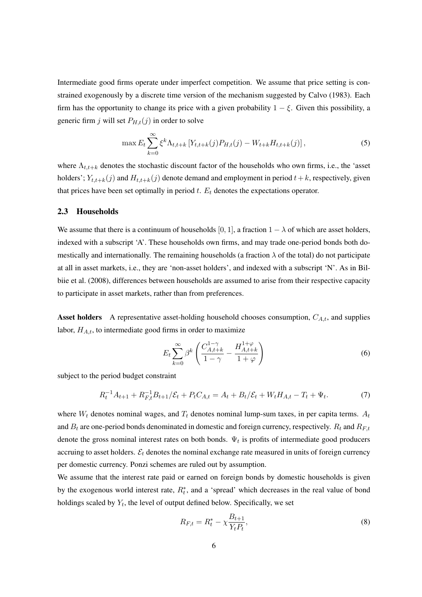Intermediate good firms operate under imperfect competition. We assume that price setting is constrained exogenously by a discrete time version of the mechanism suggested by Calvo (1983). Each firm has the opportunity to change its price with a given probability  $1 - \xi$ . Given this possibility, a generic firm j will set  $P_{H,t}(j)$  in order to solve

$$
\max E_t \sum_{k=0}^{\infty} \xi^k \Lambda_{t,t+k} \left[ Y_{t,t+k}(j) P_{H,t}(j) - W_{t+k} H_{t,t+k}(j) \right],\tag{5}
$$

where  $\Lambda_{t,t+k}$  denotes the stochastic discount factor of the households who own firms, i.e., the 'asset holders';  $Y_{t,t+k}(j)$  and  $H_{t,t+k}(j)$  denote demand and employment in period  $t+k$ , respectively, given that prices have been set optimally in period  $t$ .  $E_t$  denotes the expectations operator.

#### 2.3 Households

We assume that there is a continuum of households [0, 1], a fraction  $1 - \lambda$  of which are asset holders, indexed with a subscript 'A'. These households own firms, and may trade one-period bonds both domestically and internationally. The remaining households (a fraction  $\lambda$  of the total) do not participate at all in asset markets, i.e., they are 'non-asset holders', and indexed with a subscript 'N'. As in Bilbiie et al. (2008), differences between households are assumed to arise from their respective capacity to participate in asset markets, rather than from preferences.

**Asset holders** A representative asset-holding household chooses consumption,  $C_{A,t}$ , and supplies labor,  $H_{A,t}$ , to intermediate good firms in order to maximize

$$
E_t \sum_{k=0}^{\infty} \beta^k \left( \frac{C_{A,t+k}^{1-\gamma}}{1-\gamma} - \frac{H_{A,t+k}^{1+\varphi}}{1+\varphi} \right) \tag{6}
$$

subject to the period budget constraint

$$
R_t^{-1}A_{t+1} + R_{F,t}^{-1}B_{t+1}/\mathcal{E}_t + P_t C_{A,t} = A_t + B_t/\mathcal{E}_t + W_t H_{A,t} - T_t + \Psi_t.
$$
 (7)

where  $W_t$  denotes nominal wages, and  $T_t$  denotes nominal lump-sum taxes, in per capita terms.  $A_t$ and  $B_t$  are one-period bonds denominated in domestic and foreign currency, respectively.  $R_t$  and  $R_{F,t}$ denote the gross nominal interest rates on both bonds.  $\Psi_t$  is profits of intermediate good producers accruing to asset holders.  $\mathcal{E}_t$  denotes the nominal exchange rate measured in units of foreign currency per domestic currency. Ponzi schemes are ruled out by assumption.

We assume that the interest rate paid or earned on foreign bonds by domestic households is given by the exogenous world interest rate,  $R_t^*$ , and a 'spread' which decreases in the real value of bond holdings scaled by  $Y_t$ , the level of output defined below. Specifically, we set

$$
R_{F,t} = R_t^* - \chi \frac{B_{t+1}}{Y_t P_t},
$$
\n(8)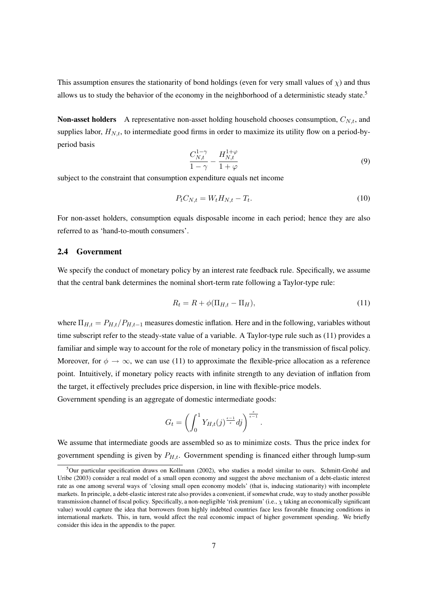This assumption ensures the stationarity of bond holdings (even for very small values of  $\chi$ ) and thus allows us to study the behavior of the economy in the neighborhood of a deterministic steady state.<sup>5</sup>

**Non-asset holders** A representative non-asset holding household chooses consumption,  $C_{N,t}$ , and supplies labor,  $H_{N,t}$ , to intermediate good firms in order to maximize its utility flow on a period-byperiod basis

$$
\frac{C_{N,t}^{1-\gamma}}{1-\gamma} - \frac{H_{N,t}^{1+\varphi}}{1+\varphi} \tag{9}
$$

subject to the constraint that consumption expenditure equals net income

$$
P_t C_{N,t} = W_t H_{N,t} - T_t. \tag{10}
$$

For non-asset holders, consumption equals disposable income in each period; hence they are also referred to as 'hand-to-mouth consumers'.

#### 2.4 Government

We specify the conduct of monetary policy by an interest rate feedback rule. Specifically, we assume that the central bank determines the nominal short-term rate following a Taylor-type rule:

$$
R_t = R + \phi(\Pi_{H,t} - \Pi_H),\tag{11}
$$

.

where  $\Pi_{H,t} = P_{H,t}/P_{H,t-1}$  measures domestic inflation. Here and in the following, variables without time subscript refer to the steady-state value of a variable. A Taylor-type rule such as (11) provides a familiar and simple way to account for the role of monetary policy in the transmission of fiscal policy. Moreover, for  $\phi \to \infty$ , we can use (11) to approximate the flexible-price allocation as a reference point. Intuitively, if monetary policy reacts with infinite strength to any deviation of inflation from the target, it effectively precludes price dispersion, in line with flexible-price models.

Government spending is an aggregate of domestic intermediate goods:

$$
G_t = \left(\int_0^1 Y_{H,t}(j)^{\frac{\epsilon-1}{\epsilon}}dj\right)^{\frac{\epsilon}{\epsilon-1}}
$$

We assume that intermediate goods are assembled so as to minimize costs. Thus the price index for government spending is given by  $P_{H,t}$ . Government spending is financed either through lump-sum

 $5$ Our particular specification draws on Kollmann (2002), who studies a model similar to ours. Schmitt-Grohé and Uribe (2003) consider a real model of a small open economy and suggest the above mechanism of a debt-elastic interest rate as one among several ways of 'closing small open economy models' (that is, inducing stationarity) with incomplete markets. In principle, a debt-elastic interest rate also provides a convenient, if somewhat crude, way to study another possible transmission channel of fiscal policy. Specifically, a non-negligible 'risk premium' (i.e.,  $\chi$  taking an economically significant value) would capture the idea that borrowers from highly indebted countries face less favorable financing conditions in international markets. This, in turn, would affect the real economic impact of higher government spending. We briefly consider this idea in the appendix to the paper.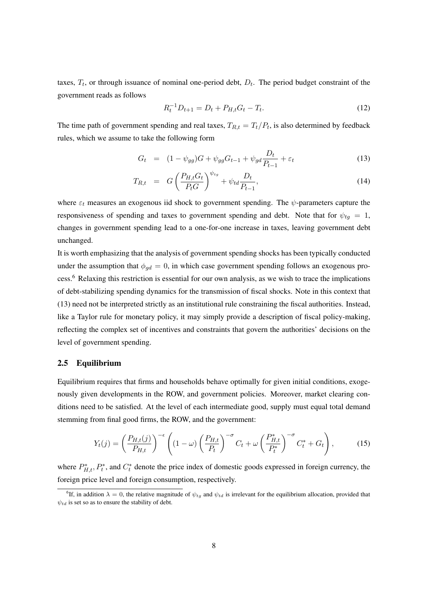taxes,  $T_t$ , or through issuance of nominal one-period debt,  $D_t$ . The period budget constraint of the government reads as follows

$$
R_t^{-1}D_{t+1} = D_t + P_{H,t}G_t - T_t.
$$
\n(12)

The time path of government spending and real taxes,  $T_{R,t} = T_t/P_t$ , is also determined by feedback rules, which we assume to take the following form

$$
G_t = (1 - \psi_{gg})G + \psi_{gg} G_{t-1} + \psi_{gd} \frac{D_t}{P_{t-1}} + \varepsilon_t
$$
\n(13)

$$
T_{R,t} = G \left(\frac{P_{H,t}G_t}{P_tG}\right)^{\psi_{tg}} + \psi_{td} \frac{D_t}{P_{t-1}},
$$
\n(14)

where  $\varepsilon_t$  measures an exogenous iid shock to government spending. The  $\psi$ -parameters capture the responsiveness of spending and taxes to government spending and debt. Note that for  $\psi_{tg} = 1$ , changes in government spending lead to a one-for-one increase in taxes, leaving government debt unchanged.

It is worth emphasizing that the analysis of government spending shocks has been typically conducted under the assumption that  $\phi_{qd} = 0$ , in which case government spending follows an exogenous process.<sup>6</sup> Relaxing this restriction is essential for our own analysis, as we wish to trace the implications of debt-stabilizing spending dynamics for the transmission of fiscal shocks. Note in this context that (13) need not be interpreted strictly as an institutional rule constraining the fiscal authorities. Instead, like a Taylor rule for monetary policy, it may simply provide a description of fiscal policy-making, reflecting the complex set of incentives and constraints that govern the authorities' decisions on the level of government spending.

#### 2.5 Equilibrium

Equilibrium requires that firms and households behave optimally for given initial conditions, exogenously given developments in the ROW, and government policies. Moreover, market clearing conditions need to be satisfied. At the level of each intermediate good, supply must equal total demand stemming from final good firms, the ROW, and the government:

$$
Y_t(j) = \left(\frac{P_{H,t}(j)}{P_{H,t}}\right)^{-\epsilon} \left( (1-\omega) \left(\frac{P_{H,t}}{P_t}\right)^{-\sigma} C_t + \omega \left(\frac{P_{H,t}^*}{P_t^*}\right)^{-\sigma} C_t^* + G_t \right),\tag{15}
$$

where  $P_{H,t}^*$ ,  $P_t^*$ , and  $C_t^*$  denote the price index of domestic goods expressed in foreign currency, the foreign price level and foreign consumption, respectively.

<sup>&</sup>lt;sup>6</sup>If, in addition  $\lambda = 0$ , the relative magnitude of  $\psi_{tq}$  and  $\psi_{td}$  is irrelevant for the equilibrium allocation, provided that  $\psi_{td}$  is set so as to ensure the stability of debt.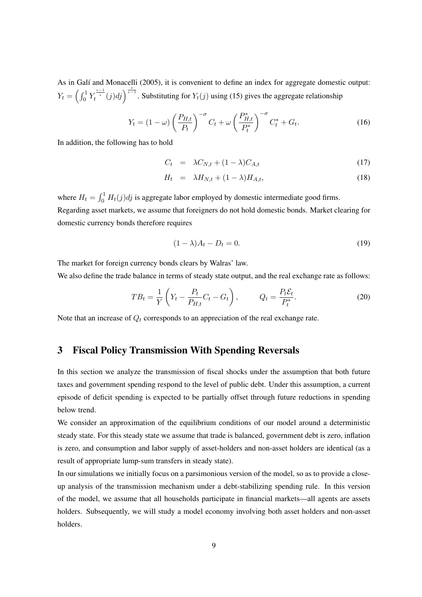As in Galí and Monacelli (2005), it is convenient to define an index for aggregate domestic output:  $Y_t = \left(\int_0^1$  $\int_0^1 Y_t^{\frac{\epsilon-1}{\epsilon}}(j)dj\bigg)^{\frac{\epsilon}{\epsilon-1}}$  $\epsilon^{-1}$ . Substituting for  $Y_t(j)$  using (15) gives the aggregate relationship

$$
Y_t = (1 - \omega) \left(\frac{P_{H,t}}{P_t}\right)^{-\sigma} C_t + \omega \left(\frac{P_{H,t}^*}{P_t^*}\right)^{-\sigma} C_t^* + G_t.
$$
 (16)

In addition, the following has to hold

$$
C_t = \lambda C_{N,t} + (1 - \lambda) C_{A,t} \tag{17}
$$

$$
H_t = \lambda H_{N,t} + (1 - \lambda) H_{A,t}, \qquad (18)
$$

where  $H_t = \int_0^1$  $\int_0^1 H_t(j)dj$  is aggregate labor employed by domestic intermediate good firms. Regarding asset markets, we assume that foreigners do not hold domestic bonds. Market clearing for domestic currency bonds therefore requires

$$
(1 - \lambda)A_t - D_t = 0.
$$
\n<sup>(19)</sup>

The market for foreign currency bonds clears by Walras' law.

We also define the trade balance in terms of steady state output, and the real exchange rate as follows:

$$
TB_t = \frac{1}{Y} \left( Y_t - \frac{P_t}{P_{H,t}} C_t - G_t \right), \qquad Q_t = \frac{P_t \mathcal{E}_t}{P_t^*}.
$$
 (20)

Note that an increase of  $Q_t$  corresponds to an appreciation of the real exchange rate.

# 3 Fiscal Policy Transmission With Spending Reversals

In this section we analyze the transmission of fiscal shocks under the assumption that both future taxes and government spending respond to the level of public debt. Under this assumption, a current episode of deficit spending is expected to be partially offset through future reductions in spending below trend.

We consider an approximation of the equilibrium conditions of our model around a deterministic steady state. For this steady state we assume that trade is balanced, government debt is zero, inflation is zero, and consumption and labor supply of asset-holders and non-asset holders are identical (as a result of appropriate lump-sum transfers in steady state).

In our simulations we initially focus on a parsimonious version of the model, so as to provide a closeup analysis of the transmission mechanism under a debt-stabilizing spending rule. In this version of the model, we assume that all households participate in financial markets—all agents are assets holders. Subsequently, we will study a model economy involving both asset holders and non-asset holders.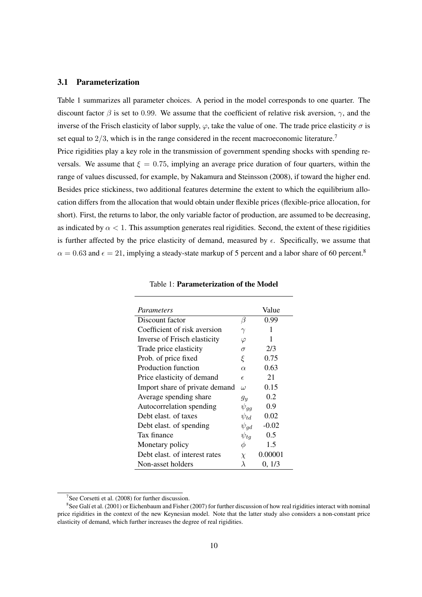### 3.1 Parameterization

Table 1 summarizes all parameter choices. A period in the model corresponds to one quarter. The discount factor  $\beta$  is set to 0.99. We assume that the coefficient of relative risk aversion,  $\gamma$ , and the inverse of the Frisch elasticity of labor supply,  $\varphi$ , take the value of one. The trade price elasticity  $\sigma$  is set equal to  $2/3$ , which is in the range considered in the recent macroeconomic literature.<sup>7</sup> Price rigidities play a key role in the transmission of government spending shocks with spending re-

versals. We assume that  $\xi = 0.75$ , implying an average price duration of four quarters, within the range of values discussed, for example, by Nakamura and Steinsson (2008), if toward the higher end. Besides price stickiness, two additional features determine the extent to which the equilibrium allocation differs from the allocation that would obtain under flexible prices (flexible-price allocation, for short). First, the returns to labor, the only variable factor of production, are assumed to be decreasing, as indicated by  $\alpha < 1$ . This assumption generates real rigidities. Second, the extent of these rigidities is further affected by the price elasticity of demand, measured by  $\epsilon$ . Specifically, we assume that  $\alpha = 0.63$  and  $\epsilon = 21$ , implying a steady-state markup of 5 percent and a labor share of 60 percent.<sup>8</sup>

| Parameters                     |             | Value   |
|--------------------------------|-------------|---------|
| Discount factor                | β           | 0.99    |
| Coefficient of risk aversion   | $\gamma$    | 1       |
| Inverse of Frisch elasticity   | $\varphi$   | 1       |
| Trade price elasticity         | $\sigma$    | 2/3     |
| Prob. of price fixed           | ξ           | 0.75    |
| Production function            | $\alpha$    | 0.63    |
| Price elasticity of demand     | $\epsilon$  | 21      |
| Import share of private demand | $\iota$     | 0.15    |
| Average spending share         | $g_y$       | 0.2     |
| Autocorrelation spending       | $\psi_{qq}$ | 0.9     |
| Debt elast, of taxes           | $\psi_{td}$ | 0.02    |
| Debt elast. of spending        | $\psi_{qd}$ | $-0.02$ |
| Tax finance                    | $\psi_{tq}$ | 0.5     |
| Monetary policy                | φ           | 1.5     |
| Debt elast, of interest rates  | $\chi$      | 0.00001 |
| Non-asset holders              | $\lambda$   | 0, 1/3  |

|  | Table 1: Parameterization of the Model |  |  |
|--|----------------------------------------|--|--|
|--|----------------------------------------|--|--|

<sup>&</sup>lt;sup>7</sup>See Corsetti et al.  $(2008)$  for further discussion.

 $8$ See Galí et al. (2001) or Eichenbaum and Fisher (2007) for further discussion of how real rigidities interact with nominal price rigidities in the context of the new Keynesian model. Note that the latter study also considers a non-constant price elasticity of demand, which further increases the degree of real rigidities.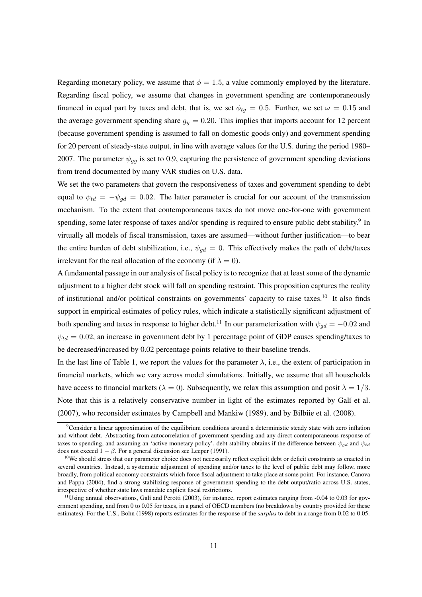Regarding monetary policy, we assume that  $\phi = 1.5$ , a value commonly employed by the literature. Regarding fiscal policy, we assume that changes in government spending are contemporaneously financed in equal part by taxes and debt, that is, we set  $\phi_{tq} = 0.5$ . Further, we set  $\omega = 0.15$  and the average government spending share  $g_y = 0.20$ . This implies that imports account for 12 percent (because government spending is assumed to fall on domestic goods only) and government spending for 20 percent of steady-state output, in line with average values for the U.S. during the period 1980– 2007. The parameter  $\psi_{qq}$  is set to 0.9, capturing the persistence of government spending deviations from trend documented by many VAR studies on U.S. data.

We set the two parameters that govern the responsiveness of taxes and government spending to debt equal to  $\psi_{td} = -\psi_{qd} = 0.02$ . The latter parameter is crucial for our account of the transmission mechanism. To the extent that contemporaneous taxes do not move one-for-one with government spending, some later response of taxes and/or spending is required to ensure public debt stability.<sup>9</sup> In virtually all models of fiscal transmission, taxes are assumed—without further justification—to bear the entire burden of debt stabilization, i.e.,  $\psi_{ad} = 0$ . This effectively makes the path of debt/taxes irrelevant for the real allocation of the economy (if  $\lambda = 0$ ).

A fundamental passage in our analysis of fiscal policy is to recognize that at least some of the dynamic adjustment to a higher debt stock will fall on spending restraint. This proposition captures the reality of institutional and/or political constraints on governments' capacity to raise taxes.<sup>10</sup> It also finds support in empirical estimates of policy rules, which indicate a statistically significant adjustment of both spending and taxes in response to higher debt.<sup>11</sup> In our parameterization with  $\psi_{od} = -0.02$  and  $\psi_{td} = 0.02$ , an increase in government debt by 1 percentage point of GDP causes spending/taxes to be decreased/increased by 0.02 percentage points relative to their baseline trends.

In the last line of Table 1, we report the values for the parameter  $\lambda$ , i.e., the extent of participation in financial markets, which we vary across model simulations. Initially, we assume that all households have access to financial markets ( $\lambda = 0$ ). Subsequently, we relax this assumption and posit  $\lambda = 1/3$ . Note that this is a relatively conservative number in light of the estimates reported by Galí et al. (2007), who reconsider estimates by Campbell and Mankiw (1989), and by Bilbiie et al. (2008).

 $\rm^9$ Consider a linear approximation of the equilibrium conditions around a deterministic steady state with zero inflation and without debt. Abstracting from autocorrelation of government spending and any direct contemporaneous response of taxes to spending, and assuming an 'active monetary policy', debt stability obtains if the difference between  $\psi_{gd}$  and  $\psi_{td}$ does not exceed  $1 - \beta$ . For a general discussion see Leeper (1991).

<sup>&</sup>lt;sup>10</sup>We should stress that our parameter choice does not necessarily reflect explicit debt or deficit constraints as enacted in several countries. Instead, a systematic adjustment of spending and/or taxes to the level of public debt may follow, more broadly, from political economy constraints which force fiscal adjustment to take place at some point. For instance, Canova and Pappa (2004), find a strong stabilizing response of government spending to the debt output/ratio across U.S. states, irrespective of whether state laws mandate explicit fiscal restrictions.

 $11$ Using annual observations, Galí and Perotti (2003), for instance, report estimates ranging from  $-0.04$  to 0.03 for government spending, and from 0 to 0.05 for taxes, in a panel of OECD members (no breakdown by country provided for these estimates). For the U.S., Bohn (1998) reports estimates for the response of the *surplus* to debt in a range from 0.02 to 0.05.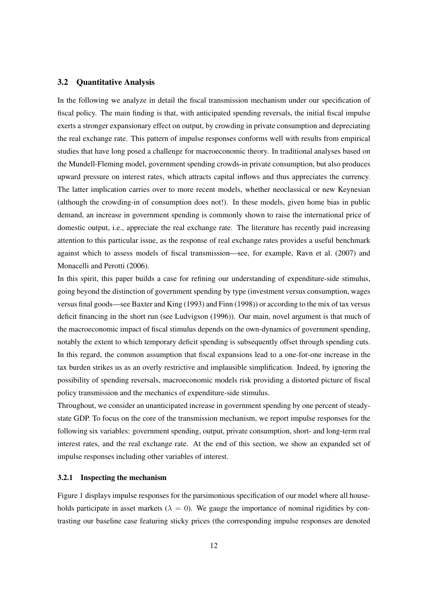#### 3.2 Quantitative Analysis

In the following we analyze in detail the fiscal transmission mechanism under our specification of fiscal policy. The main finding is that, with anticipated spending reversals, the initial fiscal impulse exerts a stronger expansionary effect on output, by crowding in private consumption and depreciating the real exchange rate. This pattern of impulse responses conforms well with results from empirical studies that have long posed a challenge for macroeconomic theory. In traditional analyses based on the Mundell-Fleming model, government spending crowds-in private consumption, but also produces upward pressure on interest rates, which attracts capital inflows and thus appreciates the currency. The latter implication carries over to more recent models, whether neoclassical or new Keynesian (although the crowding-in of consumption does not!). In these models, given home bias in public demand, an increase in government spending is commonly shown to raise the international price of domestic output, i.e., appreciate the real exchange rate. The literature has recently paid increasing attention to this particular issue, as the response of real exchange rates provides a useful benchmark against which to assess models of fiscal transmission—see, for example, Ravn et al. (2007) and Monacelli and Perotti (2006).

In this spirit, this paper builds a case for refining our understanding of expenditure-side stimulus, going beyond the distinction of government spending by type (investment versus consumption, wages versus final goods—see Baxter and King (1993) and Finn (1998)) or according to the mix of tax versus deficit financing in the short run (see Ludvigson (1996)). Our main, novel argument is that much of the macroeconomic impact of fiscal stimulus depends on the own-dynamics of government spending, notably the extent to which temporary deficit spending is subsequently offset through spending cuts. In this regard, the common assumption that fiscal expansions lead to a one-for-one increase in the tax burden strikes us as an overly restrictive and implausible simplification. Indeed, by ignoring the possibility of spending reversals, macroeconomic models risk providing a distorted picture of fiscal policy transmission and the mechanics of expenditure-side stimulus.

Throughout, we consider an unanticipated increase in government spending by one percent of steadystate GDP. To focus on the core of the transmission mechanism, we report impulse responses for the following six variables: government spending, output, private consumption, short- and long-term real interest rates, and the real exchange rate. At the end of this section, we show an expanded set of impulse responses including other variables of interest.

#### 3.2.1 Inspecting the mechanism

Figure 1 displays impulse responses for the parsimonious specification of our model where all households participate in asset markets ( $\lambda = 0$ ). We gauge the importance of nominal rigidities by contrasting our baseline case featuring sticky prices (the corresponding impulse responses are denoted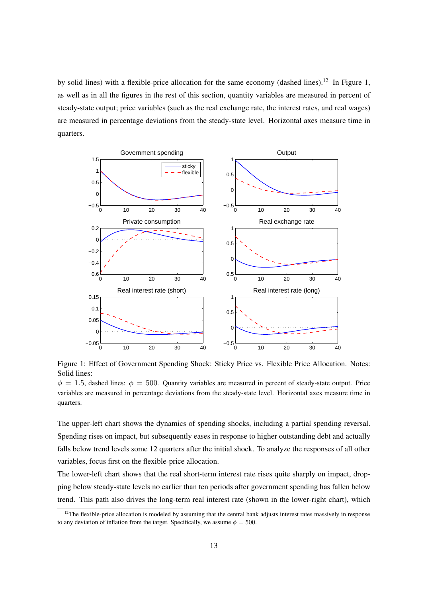by solid lines) with a flexible-price allocation for the same economy (dashed lines).<sup>12</sup> In Figure 1, as well as in all the figures in the rest of this section, quantity variables are measured in percent of steady-state output; price variables (such as the real exchange rate, the interest rates, and real wages) are measured in percentage deviations from the steady-state level. Horizontal axes measure time in quarters.



Figure 1: Effect of Government Spending Shock: Sticky Price vs. Flexible Price Allocation. Notes: Solid lines:

 $\phi = 1.5$ , dashed lines:  $\phi = 500$ . Quantity variables are measured in percent of steady-state output. Price variables are measured in percentage deviations from the steady-state level. Horizontal axes measure time in quarters.

The upper-left chart shows the dynamics of spending shocks, including a partial spending reversal. Spending rises on impact, but subsequently eases in response to higher outstanding debt and actually falls below trend levels some 12 quarters after the initial shock. To analyze the responses of all other variables, focus first on the flexible-price allocation.

The lower-left chart shows that the real short-term interest rate rises quite sharply on impact, dropping below steady-state levels no earlier than ten periods after government spending has fallen below trend. This path also drives the long-term real interest rate (shown in the lower-right chart), which

 $12$ The flexible-price allocation is modeled by assuming that the central bank adjusts interest rates massively in response to any deviation of inflation from the target. Specifically, we assume  $\phi = 500$ .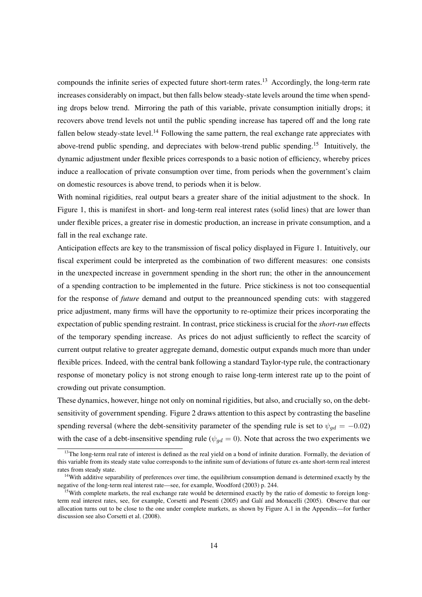compounds the infinite series of expected future short-term rates.<sup>13</sup> Accordingly, the long-term rate increases considerably on impact, but then falls below steady-state levels around the time when spending drops below trend. Mirroring the path of this variable, private consumption initially drops; it recovers above trend levels not until the public spending increase has tapered off and the long rate fallen below steady-state level.<sup>14</sup> Following the same pattern, the real exchange rate appreciates with above-trend public spending, and depreciates with below-trend public spending.<sup>15</sup> Intuitively, the dynamic adjustment under flexible prices corresponds to a basic notion of efficiency, whereby prices induce a reallocation of private consumption over time, from periods when the government's claim on domestic resources is above trend, to periods when it is below.

With nominal rigidities, real output bears a greater share of the initial adjustment to the shock. In Figure 1, this is manifest in short- and long-term real interest rates (solid lines) that are lower than under flexible prices, a greater rise in domestic production, an increase in private consumption, and a fall in the real exchange rate.

Anticipation effects are key to the transmission of fiscal policy displayed in Figure 1. Intuitively, our fiscal experiment could be interpreted as the combination of two different measures: one consists in the unexpected increase in government spending in the short run; the other in the announcement of a spending contraction to be implemented in the future. Price stickiness is not too consequential for the response of *future* demand and output to the preannounced spending cuts: with staggered price adjustment, many firms will have the opportunity to re-optimize their prices incorporating the expectation of public spending restraint. In contrast, price stickiness is crucial for the *short-run* effects of the temporary spending increase. As prices do not adjust sufficiently to reflect the scarcity of current output relative to greater aggregate demand, domestic output expands much more than under flexible prices. Indeed, with the central bank following a standard Taylor-type rule, the contractionary response of monetary policy is not strong enough to raise long-term interest rate up to the point of crowding out private consumption.

These dynamics, however, hinge not only on nominal rigidities, but also, and crucially so, on the debtsensitivity of government spending. Figure 2 draws attention to this aspect by contrasting the baseline spending reversal (where the debt-sensitivity parameter of the spending rule is set to  $\psi_{qd} = -0.02$ ) with the case of a debt-insensitive spending rule ( $\psi_{ad} = 0$ ). Note that across the two experiments we

 $<sup>13</sup>$ The long-term real rate of interest is defined as the real yield on a bond of infinite duration. Formally, the deviation of</sup> this variable from its steady state value corresponds to the infinite sum of deviations of future ex-ante short-term real interest rates from steady state.

<sup>&</sup>lt;sup>14</sup>With additive separability of preferences over time, the equilibrium consumption demand is determined exactly by the negative of the long-term real interest rate—see, for example, Woodford (2003) p. 244.

<sup>&</sup>lt;sup>15</sup>With complete markets, the real exchange rate would be determined exactly by the ratio of domestic to foreign longterm real interest rates, see, for example, Corsetti and Pesenti (2005) and Galí and Monacelli (2005). Observe that our allocation turns out to be close to the one under complete markets, as shown by Figure A.1 in the Appendix—for further discussion see also Corsetti et al. (2008).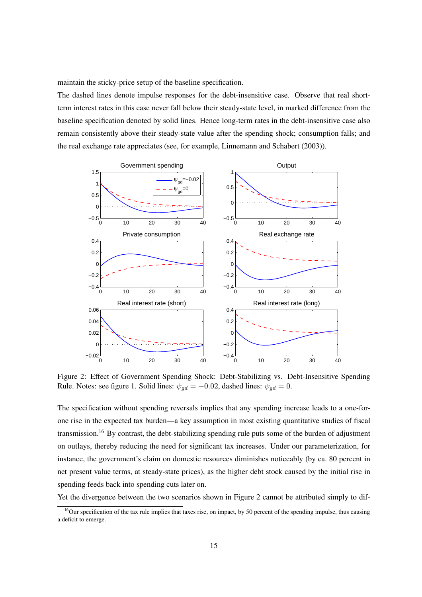maintain the sticky-price setup of the baseline specification.

The dashed lines denote impulse responses for the debt-insensitive case. Observe that real shortterm interest rates in this case never fall below their steady-state level, in marked difference from the baseline specification denoted by solid lines. Hence long-term rates in the debt-insensitive case also remain consistently above their steady-state value after the spending shock; consumption falls; and the real exchange rate appreciates (see, for example, Linnemann and Schabert (2003)).



Figure 2: Effect of Government Spending Shock: Debt-Stabilizing vs. Debt-Insensitive Spending Rule. Notes: see figure 1. Solid lines:  $\psi_{qd} = -0.02$ , dashed lines:  $\psi_{qd} = 0$ .

The specification without spending reversals implies that any spending increase leads to a one-forone rise in the expected tax burden—a key assumption in most existing quantitative studies of fiscal transmission.<sup>16</sup> By contrast, the debt-stabilizing spending rule puts some of the burden of adjustment on outlays, thereby reducing the need for significant tax increases. Under our parameterization, for instance, the government's claim on domestic resources diminishes noticeably (by ca. 80 percent in net present value terms, at steady-state prices), as the higher debt stock caused by the initial rise in spending feeds back into spending cuts later on.

Yet the divergence between the two scenarios shown in Figure 2 cannot be attributed simply to dif-

 $16$ Our specification of the tax rule implies that taxes rise, on impact, by 50 percent of the spending impulse, thus causing a deficit to emerge.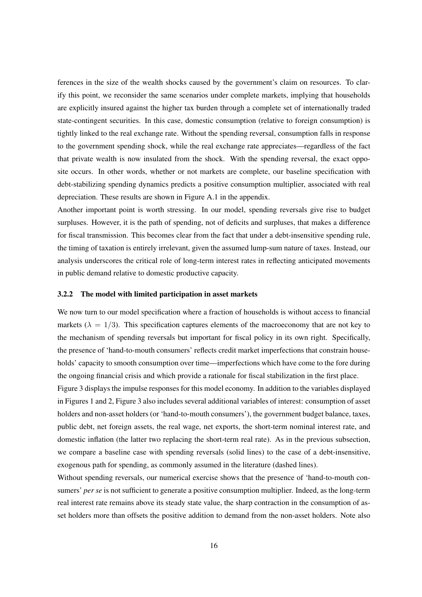ferences in the size of the wealth shocks caused by the government's claim on resources. To clarify this point, we reconsider the same scenarios under complete markets, implying that households are explicitly insured against the higher tax burden through a complete set of internationally traded state-contingent securities. In this case, domestic consumption (relative to foreign consumption) is tightly linked to the real exchange rate. Without the spending reversal, consumption falls in response to the government spending shock, while the real exchange rate appreciates—regardless of the fact that private wealth is now insulated from the shock. With the spending reversal, the exact opposite occurs. In other words, whether or not markets are complete, our baseline specification with debt-stabilizing spending dynamics predicts a positive consumption multiplier, associated with real depreciation. These results are shown in Figure A.1 in the appendix.

Another important point is worth stressing. In our model, spending reversals give rise to budget surpluses. However, it is the path of spending, not of deficits and surpluses, that makes a difference for fiscal transmission. This becomes clear from the fact that under a debt-insensitive spending rule, the timing of taxation is entirely irrelevant, given the assumed lump-sum nature of taxes. Instead, our analysis underscores the critical role of long-term interest rates in reflecting anticipated movements in public demand relative to domestic productive capacity.

#### 3.2.2 The model with limited participation in asset markets

We now turn to our model specification where a fraction of households is without access to financial markets ( $\lambda = 1/3$ ). This specification captures elements of the macroeconomy that are not key to the mechanism of spending reversals but important for fiscal policy in its own right. Specifically, the presence of 'hand-to-mouth consumers' reflects credit market imperfections that constrain households' capacity to smooth consumption over time—imperfections which have come to the fore during the ongoing financial crisis and which provide a rationale for fiscal stabilization in the first place.

Figure 3 displays the impulse responses for this model economy. In addition to the variables displayed in Figures 1 and 2, Figure 3 also includes several additional variables of interest: consumption of asset holders and non-asset holders (or 'hand-to-mouth consumers'), the government budget balance, taxes, public debt, net foreign assets, the real wage, net exports, the short-term nominal interest rate, and domestic inflation (the latter two replacing the short-term real rate). As in the previous subsection, we compare a baseline case with spending reversals (solid lines) to the case of a debt-insensitive, exogenous path for spending, as commonly assumed in the literature (dashed lines).

Without spending reversals, our numerical exercise shows that the presence of 'hand-to-mouth consumers' *per se* is not sufficient to generate a positive consumption multiplier. Indeed, as the long-term real interest rate remains above its steady state value, the sharp contraction in the consumption of asset holders more than offsets the positive addition to demand from the non-asset holders. Note also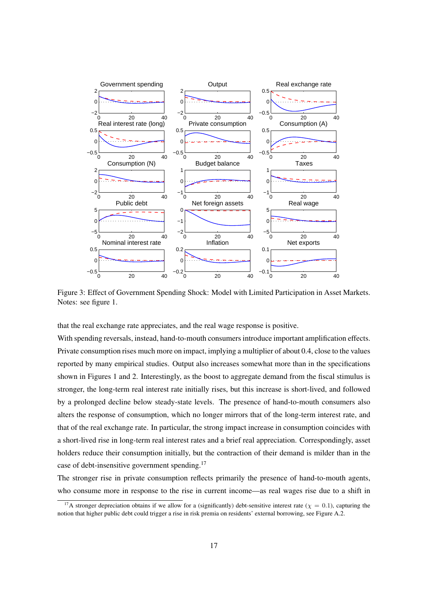

Figure 3: Effect of Government Spending Shock: Model with Limited Participation in Asset Markets. Notes: see figure 1.

that the real exchange rate appreciates, and the real wage response is positive.

With spending reversals, instead, hand-to-mouth consumers introduce important amplification effects. Private consumption rises much more on impact, implying a multiplier of about 0.4, close to the values reported by many empirical studies. Output also increases somewhat more than in the specifications shown in Figures 1 and 2. Interestingly, as the boost to aggregate demand from the fiscal stimulus is stronger, the long-term real interest rate initially rises, but this increase is short-lived, and followed by a prolonged decline below steady-state levels. The presence of hand-to-mouth consumers also alters the response of consumption, which no longer mirrors that of the long-term interest rate, and that of the real exchange rate. In particular, the strong impact increase in consumption coincides with a short-lived rise in long-term real interest rates and a brief real appreciation. Correspondingly, asset holders reduce their consumption initially, but the contraction of their demand is milder than in the case of debt-insensitive government spending.<sup>17</sup>

The stronger rise in private consumption reflects primarily the presence of hand-to-mouth agents, who consume more in response to the rise in current income—as real wages rise due to a shift in

<sup>&</sup>lt;sup>17</sup>A stronger depreciation obtains if we allow for a (significantly) debt-sensitive interest rate ( $\chi = 0.1$ ), capturing the notion that higher public debt could trigger a rise in risk premia on residents' external borrowing, see Figure A.2.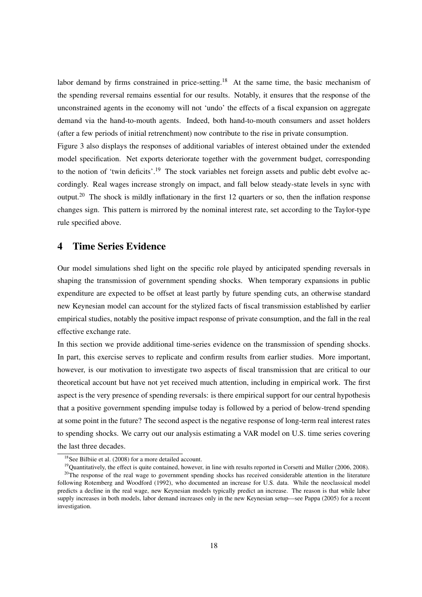labor demand by firms constrained in price-setting.<sup>18</sup> At the same time, the basic mechanism of the spending reversal remains essential for our results. Notably, it ensures that the response of the unconstrained agents in the economy will not 'undo' the effects of a fiscal expansion on aggregate demand via the hand-to-mouth agents. Indeed, both hand-to-mouth consumers and asset holders (after a few periods of initial retrenchment) now contribute to the rise in private consumption.

Figure 3 also displays the responses of additional variables of interest obtained under the extended model specification. Net exports deteriorate together with the government budget, corresponding to the notion of 'twin deficits'.<sup>19</sup> The stock variables net foreign assets and public debt evolve accordingly. Real wages increase strongly on impact, and fall below steady-state levels in sync with output.<sup>20</sup> The shock is mildly inflationary in the first 12 quarters or so, then the inflation response changes sign. This pattern is mirrored by the nominal interest rate, set according to the Taylor-type rule specified above.

## 4 Time Series Evidence

Our model simulations shed light on the specific role played by anticipated spending reversals in shaping the transmission of government spending shocks. When temporary expansions in public expenditure are expected to be offset at least partly by future spending cuts, an otherwise standard new Keynesian model can account for the stylized facts of fiscal transmission established by earlier empirical studies, notably the positive impact response of private consumption, and the fall in the real effective exchange rate.

In this section we provide additional time-series evidence on the transmission of spending shocks. In part, this exercise serves to replicate and confirm results from earlier studies. More important, however, is our motivation to investigate two aspects of fiscal transmission that are critical to our theoretical account but have not yet received much attention, including in empirical work. The first aspect is the very presence of spending reversals: is there empirical support for our central hypothesis that a positive government spending impulse today is followed by a period of below-trend spending at some point in the future? The second aspect is the negative response of long-term real interest rates to spending shocks. We carry out our analysis estimating a VAR model on U.S. time series covering the last three decades.

<sup>&</sup>lt;sup>18</sup>See Bilbiie et al. (2008) for a more detailed account.

 $19$ Quantitatively, the effect is quite contained, however, in line with results reported in Corsetti and Müller (2006, 2008).

<sup>&</sup>lt;sup>20</sup>The response of the real wage to government spending shocks has received considerable attention in the literature following Rotemberg and Woodford (1992), who documented an increase for U.S. data. While the neoclassical model predicts a decline in the real wage, new Keynesian models typically predict an increase. The reason is that while labor supply increases in both models, labor demand increases only in the new Keynesian setup—see Pappa (2005) for a recent investigation.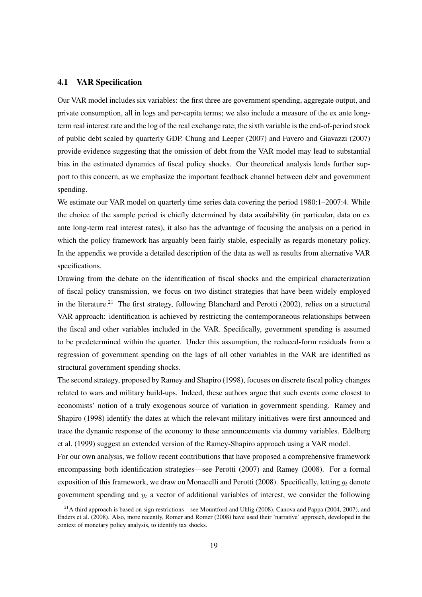#### 4.1 VAR Specification

Our VAR model includes six variables: the first three are government spending, aggregate output, and private consumption, all in logs and per-capita terms; we also include a measure of the ex ante longterm real interest rate and the log of the real exchange rate; the sixth variable is the end-of-period stock of public debt scaled by quarterly GDP. Chung and Leeper (2007) and Favero and Giavazzi (2007) provide evidence suggesting that the omission of debt from the VAR model may lead to substantial bias in the estimated dynamics of fiscal policy shocks. Our theoretical analysis lends further support to this concern, as we emphasize the important feedback channel between debt and government spending.

We estimate our VAR model on quarterly time series data covering the period 1980:1–2007:4. While the choice of the sample period is chiefly determined by data availability (in particular, data on ex ante long-term real interest rates), it also has the advantage of focusing the analysis on a period in which the policy framework has arguably been fairly stable, especially as regards monetary policy. In the appendix we provide a detailed description of the data as well as results from alternative VAR specifications.

Drawing from the debate on the identification of fiscal shocks and the empirical characterization of fiscal policy transmission, we focus on two distinct strategies that have been widely employed in the literature.<sup>21</sup> The first strategy, following Blanchard and Perotti (2002), relies on a structural VAR approach: identification is achieved by restricting the contemporaneous relationships between the fiscal and other variables included in the VAR. Specifically, government spending is assumed to be predetermined within the quarter. Under this assumption, the reduced-form residuals from a regression of government spending on the lags of all other variables in the VAR are identified as structural government spending shocks.

The second strategy, proposed by Ramey and Shapiro (1998), focuses on discrete fiscal policy changes related to wars and military build-ups. Indeed, these authors argue that such events come closest to economists' notion of a truly exogenous source of variation in government spending. Ramey and Shapiro (1998) identify the dates at which the relevant military initiatives were first announced and trace the dynamic response of the economy to these announcements via dummy variables. Edelberg et al. (1999) suggest an extended version of the Ramey-Shapiro approach using a VAR model.

For our own analysis, we follow recent contributions that have proposed a comprehensive framework encompassing both identification strategies—see Perotti (2007) and Ramey (2008). For a formal exposition of this framework, we draw on Monacelli and Perotti (2008). Specifically, letting  $g_t$  denote government spending and  $y_t$  a vector of additional variables of interest, we consider the following

<sup>&</sup>lt;sup>21</sup>A third approach is based on sign restrictions—see Mountford and Uhlig (2008), Canova and Pappa (2004, 2007), and Enders et al. (2008). Also, more recently, Romer and Romer (2008) have used their 'narrative' approach, developed in the context of monetary policy analysis, to identify tax shocks.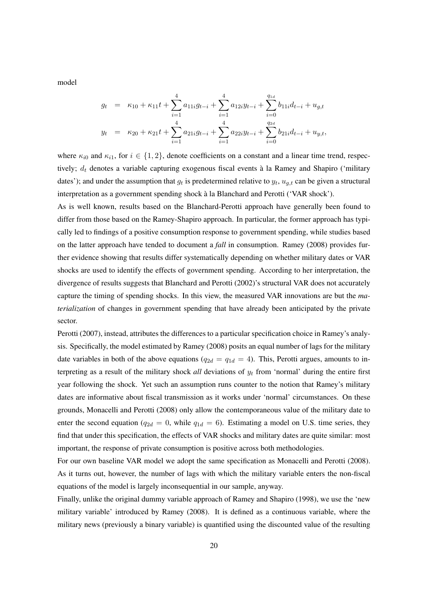model

$$
g_t = \kappa_{10} + \kappa_{11}t + \sum_{i=1}^4 a_{11i}g_{t-i} + \sum_{i=1}^4 a_{12i}y_{t-i} + \sum_{i=0}^{q_{1d}} b_{11i}d_{t-i} + u_{g,t}
$$
  

$$
y_t = \kappa_{20} + \kappa_{21}t + \sum_{i=1}^4 a_{21i}g_{t-i} + \sum_{i=1}^4 a_{22i}y_{t-i} + \sum_{i=0}^{q_{2d}} b_{21i}d_{t-i} + u_{y,t},
$$

where  $\kappa_{i0}$  and  $\kappa_{i1}$ , for  $i \in \{1,2\}$ , denote coefficients on a constant and a linear time trend, respectively;  $d_t$  denotes a variable capturing exogenous fiscal events à la Ramey and Shapiro ('military dates'); and under the assumption that  $g_t$  is predetermined relative to  $y_t$ ,  $u_{g,t}$  can be given a structural interpretation as a government spending shock à la Blanchard and Perotti ('VAR shock').

As is well known, results based on the Blanchard-Perotti approach have generally been found to differ from those based on the Ramey-Shapiro approach. In particular, the former approach has typically led to findings of a positive consumption response to government spending, while studies based on the latter approach have tended to document a *fall* in consumption. Ramey (2008) provides further evidence showing that results differ systematically depending on whether military dates or VAR shocks are used to identify the effects of government spending. According to her interpretation, the divergence of results suggests that Blanchard and Perotti (2002)'s structural VAR does not accurately capture the timing of spending shocks. In this view, the measured VAR innovations are but the *materialization* of changes in government spending that have already been anticipated by the private sector.

Perotti (2007), instead, attributes the differences to a particular specification choice in Ramey's analysis. Specifically, the model estimated by Ramey (2008) posits an equal number of lags for the military date variables in both of the above equations ( $q_{2d} = q_{1d} = 4$ ). This, Perotti argues, amounts to interpreting as a result of the military shock *all* deviations of  $y_t$  from 'normal' during the entire first year following the shock. Yet such an assumption runs counter to the notion that Ramey's military dates are informative about fiscal transmission as it works under 'normal' circumstances. On these grounds, Monacelli and Perotti (2008) only allow the contemporaneous value of the military date to enter the second equation ( $q_{2d} = 0$ , while  $q_{1d} = 6$ ). Estimating a model on U.S. time series, they find that under this specification, the effects of VAR shocks and military dates are quite similar: most important, the response of private consumption is positive across both methodologies.

For our own baseline VAR model we adopt the same specification as Monacelli and Perotti (2008). As it turns out, however, the number of lags with which the military variable enters the non-fiscal equations of the model is largely inconsequential in our sample, anyway.

Finally, unlike the original dummy variable approach of Ramey and Shapiro (1998), we use the 'new military variable' introduced by Ramey (2008). It is defined as a continuous variable, where the military news (previously a binary variable) is quantified using the discounted value of the resulting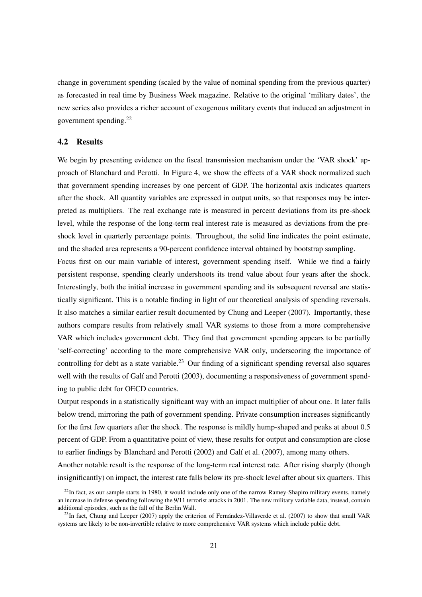change in government spending (scaled by the value of nominal spending from the previous quarter) as forecasted in real time by Business Week magazine. Relative to the original 'military dates', the new series also provides a richer account of exogenous military events that induced an adjustment in government spending.<sup>22</sup>

#### 4.2 Results

We begin by presenting evidence on the fiscal transmission mechanism under the 'VAR shock' approach of Blanchard and Perotti. In Figure 4, we show the effects of a VAR shock normalized such that government spending increases by one percent of GDP. The horizontal axis indicates quarters after the shock. All quantity variables are expressed in output units, so that responses may be interpreted as multipliers. The real exchange rate is measured in percent deviations from its pre-shock level, while the response of the long-term real interest rate is measured as deviations from the preshock level in quarterly percentage points. Throughout, the solid line indicates the point estimate, and the shaded area represents a 90-percent confidence interval obtained by bootstrap sampling.

Focus first on our main variable of interest, government spending itself. While we find a fairly persistent response, spending clearly undershoots its trend value about four years after the shock. Interestingly, both the initial increase in government spending and its subsequent reversal are statistically significant. This is a notable finding in light of our theoretical analysis of spending reversals. It also matches a similar earlier result documented by Chung and Leeper (2007). Importantly, these authors compare results from relatively small VAR systems to those from a more comprehensive VAR which includes government debt. They find that government spending appears to be partially 'self-correcting' according to the more comprehensive VAR only, underscoring the importance of controlling for debt as a state variable.<sup>23</sup> Our finding of a significant spending reversal also squares well with the results of Galí and Perotti (2003), documenting a responsiveness of government spending to public debt for OECD countries.

Output responds in a statistically significant way with an impact multiplier of about one. It later falls below trend, mirroring the path of government spending. Private consumption increases significantly for the first few quarters after the shock. The response is mildly hump-shaped and peaks at about 0.5 percent of GDP. From a quantitative point of view, these results for output and consumption are close to earlier findings by Blanchard and Perotti (2002) and Galí et al. (2007), among many others.

Another notable result is the response of the long-term real interest rate. After rising sharply (though insignificantly) on impact, the interest rate falls below its pre-shock level after about six quarters. This

 $^{22}$ In fact, as our sample starts in 1980, it would include only one of the narrow Ramey-Shapiro military events, namely an increase in defense spending following the 9/11 terrorist attacks in 2001. The new military variable data, instead, contain additional episodes, such as the fall of the Berlin Wall.

 $^{23}$ In fact, Chung and Leeper (2007) apply the criterion of Fernandez-Villaverde et al. (2007) to show that small VAR systems are likely to be non-invertible relative to more comprehensive VAR systems which include public debt.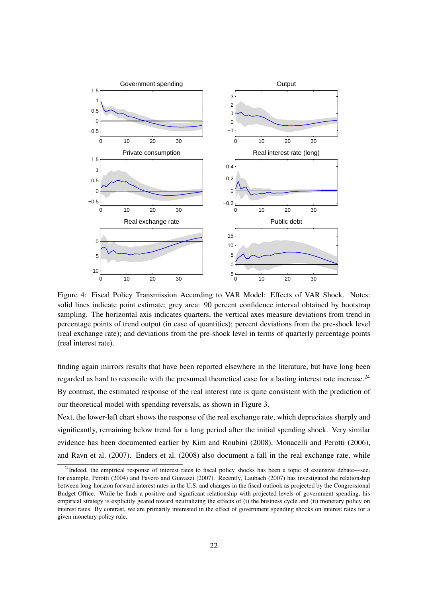

Figure 4: Fiscal Policy Transmission According to VAR Model: Effects of VAR Shock. Notes: solid lines indicate point estimate; grey area: 90 percent confidence interval obtained by bootstrap sampling. The horizontal axis indicates quarters, the vertical axes measure deviations from trend in percentage points of trend output (in case of quantities); percent deviations from the pre-shock level (real exchange rate); and deviations from the pre-shock level in terms of quarterly percentage points (real interest rate).

finding again mirrors results that have been reported elsewhere in the literature, but have long been regarded as hard to reconcile with the presumed theoretical case for a lasting interest rate increase.<sup>24</sup> By contrast, the estimated response of the real interest rate is quite consistent with the prediction of our theoretical model with spending reversals, as shown in Figure 3.

Next, the lower-left chart shows the response of the real exchange rate, which depreciates sharply and significantly, remaining below trend for a long period after the initial spending shock. Very similar evidence has been documented earlier by Kim and Roubini (2008), Monacelli and Perotti (2006), and Ravn et al. (2007). Enders et al. (2008) also document a fall in the real exchange rate, while

<sup>&</sup>lt;sup>24</sup>Indeed, the empirical response of interest rates to fiscal policy shocks has been a topic of extensive debate—see, for example, Perotti (2004) and Favero and Giavazzi (2007). Recently, Laubach (2007) has investigated the relationship between long-horizon forward interest rates in the U.S. and changes in the fiscal outlook as projected by the Congressional Budget Office. While he finds a positive and significant relationship with projected levels of government spending, his empirical strategy is explicitly geared toward neutralizing the effects of (i) the business cycle and (ii) monetary policy on interest rates. By contrast, we are primarily interested in the effect of government spending shocks on interest rates for a given monetary policy rule.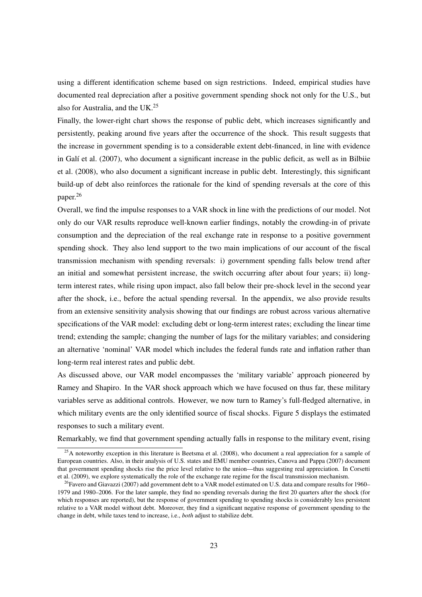using a different identification scheme based on sign restrictions. Indeed, empirical studies have documented real depreciation after a positive government spending shock not only for the U.S., but also for Australia, and the UK.<sup>25</sup>

Finally, the lower-right chart shows the response of public debt, which increases significantly and persistently, peaking around five years after the occurrence of the shock. This result suggests that the increase in government spending is to a considerable extent debt-financed, in line with evidence in Galí et al. (2007), who document a significant increase in the public deficit, as well as in Bilbiie et al. (2008), who also document a significant increase in public debt. Interestingly, this significant build-up of debt also reinforces the rationale for the kind of spending reversals at the core of this paper.<sup>26</sup>

Overall, we find the impulse responses to a VAR shock in line with the predictions of our model. Not only do our VAR results reproduce well-known earlier findings, notably the crowding-in of private consumption and the depreciation of the real exchange rate in response to a positive government spending shock. They also lend support to the two main implications of our account of the fiscal transmission mechanism with spending reversals: i) government spending falls below trend after an initial and somewhat persistent increase, the switch occurring after about four years; ii) longterm interest rates, while rising upon impact, also fall below their pre-shock level in the second year after the shock, i.e., before the actual spending reversal. In the appendix, we also provide results from an extensive sensitivity analysis showing that our findings are robust across various alternative specifications of the VAR model: excluding debt or long-term interest rates; excluding the linear time trend; extending the sample; changing the number of lags for the military variables; and considering an alternative 'nominal' VAR model which includes the federal funds rate and inflation rather than long-term real interest rates and public debt.

As discussed above, our VAR model encompasses the 'military variable' approach pioneered by Ramey and Shapiro. In the VAR shock approach which we have focused on thus far, these military variables serve as additional controls. However, we now turn to Ramey's full-fledged alternative, in which military events are the only identified source of fiscal shocks. Figure 5 displays the estimated responses to such a military event.

Remarkably, we find that government spending actually falls in response to the military event, rising

 $25A$  noteworthy exception in this literature is Beetsma et al. (2008), who document a real appreciation for a sample of European countries. Also, in their analysis of U.S. states and EMU member countries, Canova and Pappa (2007) document that government spending shocks rise the price level relative to the union—thus suggesting real appreciation. In Corsetti et al. (2009), we explore systematically the role of the exchange rate regime for the fiscal transmission mechanism.

<sup>&</sup>lt;sup>26</sup>Favero and Giavazzi (2007) add government debt to a VAR model estimated on U.S. data and compare results for 1960– 1979 and 1980–2006. For the later sample, they find no spending reversals during the first 20 quarters after the shock (for which responses are reported), but the response of government spending to spending shocks is considerably less persistent relative to a VAR model without debt. Moreover, they find a significant negative response of government spending to the change in debt, while taxes tend to increase, i.e., *both* adjust to stabilize debt.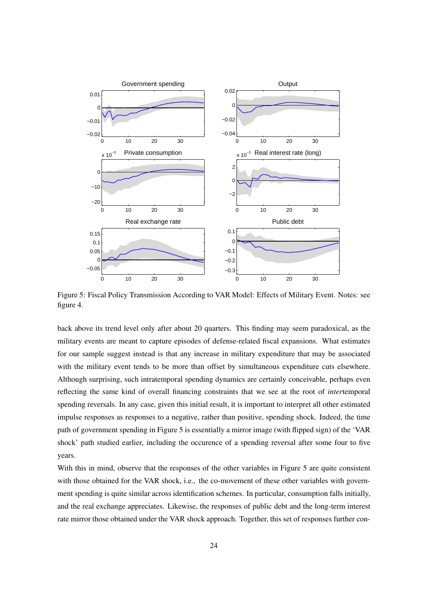

Figure 5: Fiscal Policy Transmission According to VAR Model: Effects of Military Event. Notes: see figure 4.

back above its trend level only after about 20 quarters. This finding may seem paradoxical, as the military events are meant to capture episodes of defense-related fiscal expansions. What estimates for our sample suggest instead is that any increase in military expenditure that may be associated with the military event tends to be more than offset by simultaneous expenditure cuts elsewhere. Although surprising, such intratemporal spending dynamics are certainly conceivable, perhaps even reflecting the same kind of overall financing constraints that we see at the root of *inter*temporal spending reversals. In any case, given this initial result, it is important to interpret all other estimated impulse responses as responses to a negative, rather than positive, spending shock. Indeed, the time path of government spending in Figure 5 is essentially a mirror image (with flipped sign) of the 'VAR shock' path studied earlier, including the occurence of a spending reversal after some four to five years.

With this in mind, observe that the responses of the other variables in Figure 5 are quite consistent with those obtained for the VAR shock, i.e., the co-movement of these other variables with government spending is quite similar across identification schemes. In particular, consumption falls initially, and the real exchange appreciates. Likewise, the responses of public debt and the long-term interest rate mirror those obtained under the VAR shock approach. Together, this set of responses further con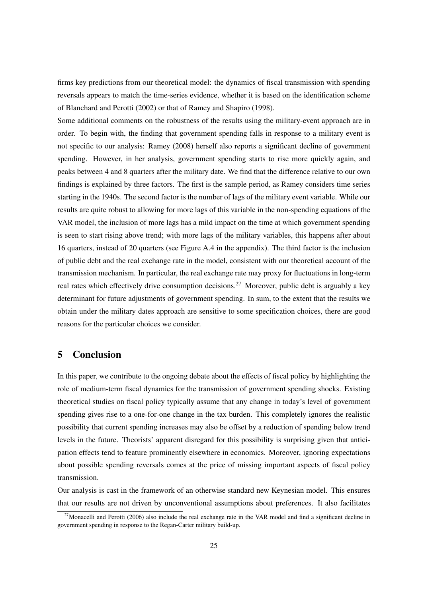firms key predictions from our theoretical model: the dynamics of fiscal transmission with spending reversals appears to match the time-series evidence, whether it is based on the identification scheme of Blanchard and Perotti (2002) or that of Ramey and Shapiro (1998).

Some additional comments on the robustness of the results using the military-event approach are in order. To begin with, the finding that government spending falls in response to a military event is not specific to our analysis: Ramey (2008) herself also reports a significant decline of government spending. However, in her analysis, government spending starts to rise more quickly again, and peaks between 4 and 8 quarters after the military date. We find that the difference relative to our own findings is explained by three factors. The first is the sample period, as Ramey considers time series starting in the 1940s. The second factor is the number of lags of the military event variable. While our results are quite robust to allowing for more lags of this variable in the non-spending equations of the VAR model, the inclusion of more lags has a mild impact on the time at which government spending is seen to start rising above trend; with more lags of the military variables, this happens after about 16 quarters, instead of 20 quarters (see Figure A.4 in the appendix). The third factor is the inclusion of public debt and the real exchange rate in the model, consistent with our theoretical account of the transmission mechanism. In particular, the real exchange rate may proxy for fluctuations in long-term real rates which effectively drive consumption decisions.<sup>27</sup> Moreover, public debt is arguably a key determinant for future adjustments of government spending. In sum, to the extent that the results we obtain under the military dates approach are sensitive to some specification choices, there are good reasons for the particular choices we consider.

# 5 Conclusion

In this paper, we contribute to the ongoing debate about the effects of fiscal policy by highlighting the role of medium-term fiscal dynamics for the transmission of government spending shocks. Existing theoretical studies on fiscal policy typically assume that any change in today's level of government spending gives rise to a one-for-one change in the tax burden. This completely ignores the realistic possibility that current spending increases may also be offset by a reduction of spending below trend levels in the future. Theorists' apparent disregard for this possibility is surprising given that anticipation effects tend to feature prominently elsewhere in economics. Moreover, ignoring expectations about possible spending reversals comes at the price of missing important aspects of fiscal policy transmission.

Our analysis is cast in the framework of an otherwise standard new Keynesian model. This ensures that our results are not driven by unconventional assumptions about preferences. It also facilitates

 $27$ Monacelli and Perotti (2006) also include the real exchange rate in the VAR model and find a significant decline in government spending in response to the Regan-Carter military build-up.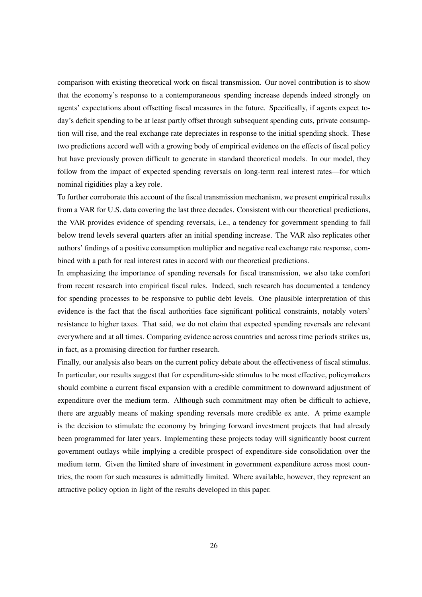comparison with existing theoretical work on fiscal transmission. Our novel contribution is to show that the economy's response to a contemporaneous spending increase depends indeed strongly on agents' expectations about offsetting fiscal measures in the future. Specifically, if agents expect today's deficit spending to be at least partly offset through subsequent spending cuts, private consumption will rise, and the real exchange rate depreciates in response to the initial spending shock. These two predictions accord well with a growing body of empirical evidence on the effects of fiscal policy but have previously proven difficult to generate in standard theoretical models. In our model, they follow from the impact of expected spending reversals on long-term real interest rates—for which nominal rigidities play a key role.

To further corroborate this account of the fiscal transmission mechanism, we present empirical results from a VAR for U.S. data covering the last three decades. Consistent with our theoretical predictions, the VAR provides evidence of spending reversals, i.e., a tendency for government spending to fall below trend levels several quarters after an initial spending increase. The VAR also replicates other authors' findings of a positive consumption multiplier and negative real exchange rate response, combined with a path for real interest rates in accord with our theoretical predictions.

In emphasizing the importance of spending reversals for fiscal transmission, we also take comfort from recent research into empirical fiscal rules. Indeed, such research has documented a tendency for spending processes to be responsive to public debt levels. One plausible interpretation of this evidence is the fact that the fiscal authorities face significant political constraints, notably voters' resistance to higher taxes. That said, we do not claim that expected spending reversals are relevant everywhere and at all times. Comparing evidence across countries and across time periods strikes us, in fact, as a promising direction for further research.

Finally, our analysis also bears on the current policy debate about the effectiveness of fiscal stimulus. In particular, our results suggest that for expenditure-side stimulus to be most effective, policymakers should combine a current fiscal expansion with a credible commitment to downward adjustment of expenditure over the medium term. Although such commitment may often be difficult to achieve, there are arguably means of making spending reversals more credible ex ante. A prime example is the decision to stimulate the economy by bringing forward investment projects that had already been programmed for later years. Implementing these projects today will significantly boost current government outlays while implying a credible prospect of expenditure-side consolidation over the medium term. Given the limited share of investment in government expenditure across most countries, the room for such measures is admittedly limited. Where available, however, they represent an attractive policy option in light of the results developed in this paper.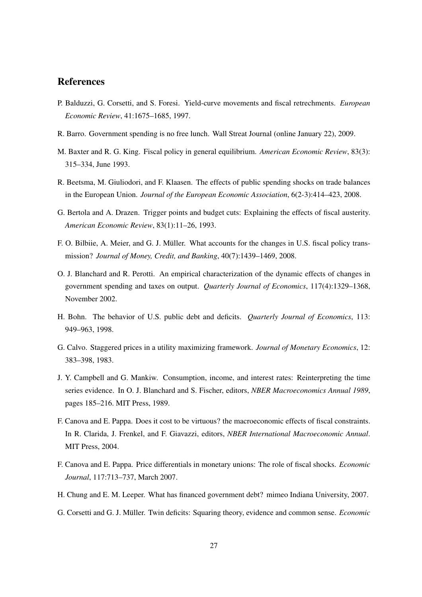# References

- P. Balduzzi, G. Corsetti, and S. Foresi. Yield-curve movements and fiscal retrechments. *European Economic Review*, 41:1675–1685, 1997.
- R. Barro. Government spending is no free lunch. Wall Streat Journal (online January 22), 2009.
- M. Baxter and R. G. King. Fiscal policy in general equilibrium. *American Economic Review*, 83(3): 315–334, June 1993.
- R. Beetsma, M. Giuliodori, and F. Klaasen. The effects of public spending shocks on trade balances in the European Union. *Journal of the European Economic Association*, 6(2-3):414–423, 2008.
- G. Bertola and A. Drazen. Trigger points and budget cuts: Explaining the effects of fiscal austerity. *American Economic Review*, 83(1):11–26, 1993.
- F. O. Bilbiie, A. Meier, and G. J. Müller. What accounts for the changes in U.S. fiscal policy transmission? *Journal of Money, Credit, and Banking*, 40(7):1439–1469, 2008.
- O. J. Blanchard and R. Perotti. An empirical characterization of the dynamic effects of changes in government spending and taxes on output. *Quarterly Journal of Economics*, 117(4):1329–1368, November 2002.
- H. Bohn. The behavior of U.S. public debt and deficits. *Quarterly Journal of Economics*, 113: 949–963, 1998.
- G. Calvo. Staggered prices in a utility maximizing framework. *Journal of Monetary Economics*, 12: 383–398, 1983.
- J. Y. Campbell and G. Mankiw. Consumption, income, and interest rates: Reinterpreting the time series evidence. In O. J. Blanchard and S. Fischer, editors, *NBER Macroeconomics Annual 1989*, pages 185–216. MIT Press, 1989.
- F. Canova and E. Pappa. Does it cost to be virtuous? the macroeconomic effects of fiscal constraints. In R. Clarida, J. Frenkel, and F. Giavazzi, editors, *NBER International Macroeconomic Annual*. MIT Press, 2004.
- F. Canova and E. Pappa. Price differentials in monetary unions: The role of fiscal shocks. *Economic Journal*, 117:713–737, March 2007.
- H. Chung and E. M. Leeper. What has financed government debt? mimeo Indiana University, 2007.
- G. Corsetti and G. J. Müller. Twin deficits: Squaring theory, evidence and common sense. *Economic*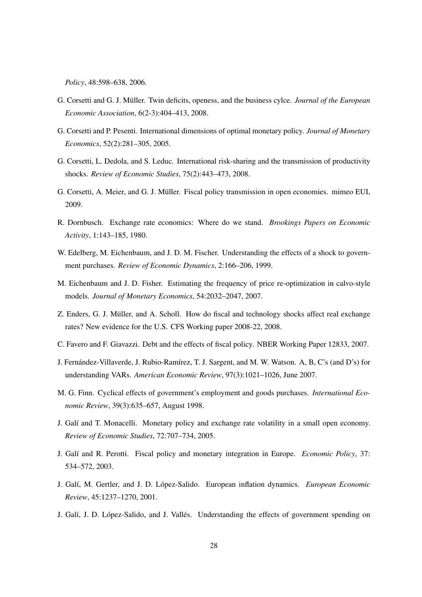*Policy*, 48:598–638, 2006.

- G. Corsetti and G. J. Müller. Twin deficits, openess, and the business cylce. *Journal of the European Economic Association*, 6(2-3):404–413, 2008.
- G. Corsetti and P. Pesenti. International dimensions of optimal monetary policy. *Journal of Monetary Economics*, 52(2):281–305, 2005.
- G. Corsetti, L. Dedola, and S. Leduc. International risk-sharing and the transmission of productivity shocks. *Review of Economic Studies*, 75(2):443–473, 2008.
- G. Corsetti, A. Meier, and G. J. Müller. Fiscal policy transmission in open economies. mimeo EUI, 2009.
- R. Dornbusch. Exchange rate economics: Where do we stand. *Brookings Papers on Economic Activity*, 1:143–185, 1980.
- W. Edelberg, M. Eichenbaum, and J. D. M. Fischer. Understanding the effects of a shock to government purchases. *Review of Economic Dynamics*, 2:166–206, 1999.
- M. Eichenbaum and J. D. Fisher. Estimating the frequency of price re-optimization in calvo-style models. *Journal of Monetary Economics*, 54:2032–2047, 2007.
- Z. Enders, G. J. Müller, and A. Scholl. How do fiscal and technology shocks affect real exchange rates? New evidence for the U.S. CFS Working paper 2008-22, 2008.
- C. Favero and F. Giavazzi. Debt and the effects of fiscal policy. NBER Working Paper 12833, 2007.
- J. Fernández-Villaverde, J. Rubio-Ramírez, T. J. Sargent, and M. W. Watson. A, B, C's (and D's) for understanding VARs. *American Economic Review*, 97(3):1021–1026, June 2007.
- M. G. Finn. Cyclical effects of government's employment and goods purchases. *International Economic Review*, 39(3):635–657, August 1998.
- J. Galí and T. Monacelli. Monetary policy and exchange rate volatility in a small open economy. *Review of Economic Studies*, 72:707–734, 2005.
- J. Gal´ı and R. Perotti. Fiscal policy and monetary integration in Europe. *Economic Policy*, 37: 534–572, 2003.
- J. Galí, M. Gertler, and J. D. López-Salido. European inflation dynamics. *European Economic Review*, 45:1237–1270, 2001.
- J. Galí, J. D. López-Salido, and J. Vallés. Understanding the effects of government spending on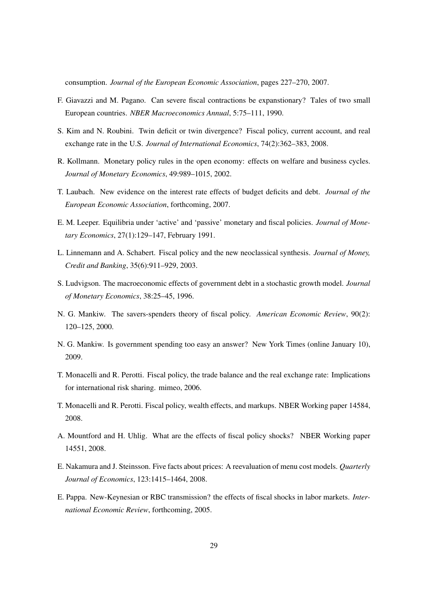consumption. *Journal of the European Economic Association*, pages 227–270, 2007.

- F. Giavazzi and M. Pagano. Can severe fiscal contractions be expanstionary? Tales of two small European countries. *NBER Macroeconomics Annual*, 5:75–111, 1990.
- S. Kim and N. Roubini. Twin deficit or twin divergence? Fiscal policy, current account, and real exchange rate in the U.S. *Journal of International Economics*, 74(2):362–383, 2008.
- R. Kollmann. Monetary policy rules in the open economy: effects on welfare and business cycles. *Journal of Monetary Economics*, 49:989–1015, 2002.
- T. Laubach. New evidence on the interest rate effects of budget deficits and debt. *Journal of the European Economic Association*, forthcoming, 2007.
- E. M. Leeper. Equilibria under 'active' and 'passive' monetary and fiscal policies. *Journal of Monetary Economics*, 27(1):129–147, February 1991.
- L. Linnemann and A. Schabert. Fiscal policy and the new neoclassical synthesis. *Journal of Money, Credit and Banking*, 35(6):911–929, 2003.
- S. Ludvigson. The macroeconomic effects of government debt in a stochastic growth model. *Journal of Monetary Economics*, 38:25–45, 1996.
- N. G. Mankiw. The savers-spenders theory of fiscal policy. *American Economic Review*, 90(2): 120–125, 2000.
- N. G. Mankiw. Is government spending too easy an answer? New York Times (online January 10), 2009.
- T. Monacelli and R. Perotti. Fiscal policy, the trade balance and the real exchange rate: Implications for international risk sharing. mimeo, 2006.
- T. Monacelli and R. Perotti. Fiscal policy, wealth effects, and markups. NBER Working paper 14584, 2008.
- A. Mountford and H. Uhlig. What are the effects of fiscal policy shocks? NBER Working paper 14551, 2008.
- E. Nakamura and J. Steinsson. Five facts about prices: A reevaluation of menu cost models. *Quarterly Journal of Economics*, 123:1415–1464, 2008.
- E. Pappa. New-Keynesian or RBC transmission? the effects of fiscal shocks in labor markets. *International Economic Review*, forthcoming, 2005.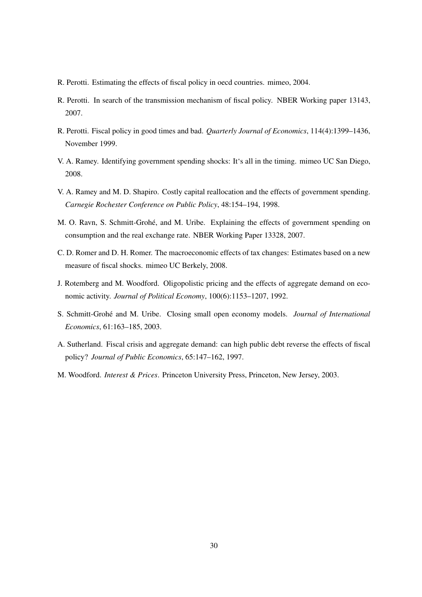- R. Perotti. Estimating the effects of fiscal policy in oecd countries. mimeo, 2004.
- R. Perotti. In search of the transmission mechanism of fiscal policy. NBER Working paper 13143, 2007.
- R. Perotti. Fiscal policy in good times and bad. *Quarterly Journal of Economics*, 114(4):1399–1436, November 1999.
- V. A. Ramey. Identifying government spending shocks: It's all in the timing. mimeo UC San Diego, 2008.
- V. A. Ramey and M. D. Shapiro. Costly capital reallocation and the effects of government spending. *Carnegie Rochester Conference on Public Policy*, 48:154–194, 1998.
- M. O. Ravn, S. Schmitt-Grohé, and M. Uribe. Explaining the effects of government spending on consumption and the real exchange rate. NBER Working Paper 13328, 2007.
- C. D. Romer and D. H. Romer. The macroeconomic effects of tax changes: Estimates based on a new measure of fiscal shocks. mimeo UC Berkely, 2008.
- J. Rotemberg and M. Woodford. Oligopolistic pricing and the effects of aggregate demand on economic activity. *Journal of Political Economy*, 100(6):1153–1207, 1992.
- S. Schmitt-Grohe and M. Uribe. Closing small open economy models. ´ *Journal of International Economics*, 61:163–185, 2003.
- A. Sutherland. Fiscal crisis and aggregate demand: can high public debt reverse the effects of fiscal policy? *Journal of Public Economics*, 65:147–162, 1997.
- M. Woodford. *Interest & Prices*. Princeton University Press, Princeton, New Jersey, 2003.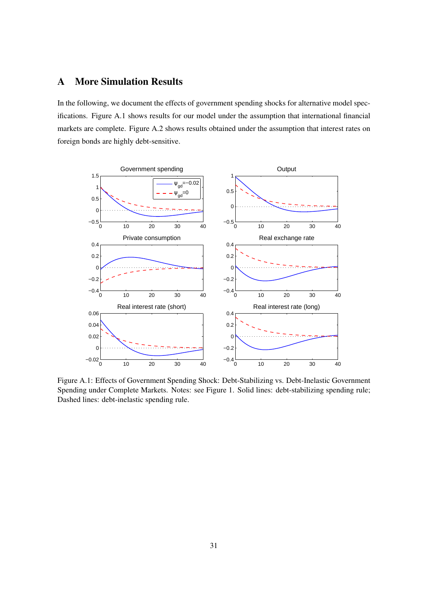# A More Simulation Results

In the following, we document the effects of government spending shocks for alternative model specifications. Figure A.1 shows results for our model under the assumption that international financial markets are complete. Figure A.2 shows results obtained under the assumption that interest rates on foreign bonds are highly debt-sensitive.



Figure A.1: Effects of Government Spending Shock: Debt-Stabilizing vs. Debt-Inelastic Government Spending under Complete Markets. Notes: see Figure 1. Solid lines: debt-stabilizing spending rule; Dashed lines: debt-inelastic spending rule.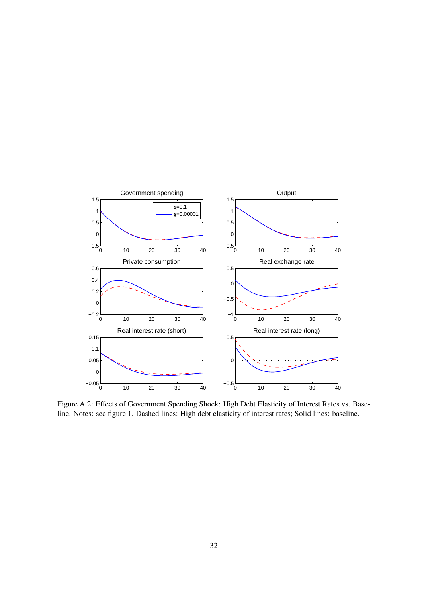

Figure A.2: Effects of Government Spending Shock: High Debt Elasticity of Interest Rates vs. Baseline. Notes: see figure 1. Dashed lines: High debt elasticity of interest rates; Solid lines: baseline.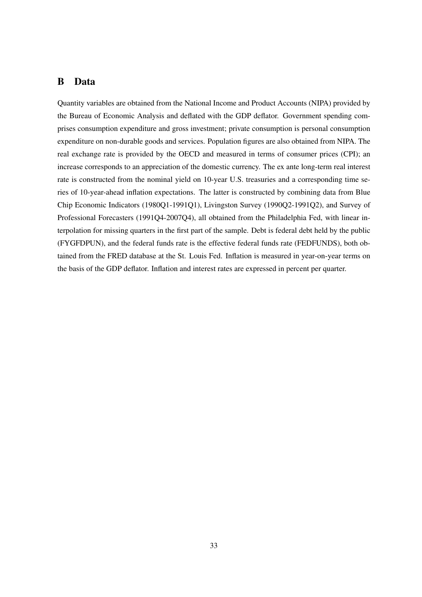# B Data

Quantity variables are obtained from the National Income and Product Accounts (NIPA) provided by the Bureau of Economic Analysis and deflated with the GDP deflator. Government spending comprises consumption expenditure and gross investment; private consumption is personal consumption expenditure on non-durable goods and services. Population figures are also obtained from NIPA. The real exchange rate is provided by the OECD and measured in terms of consumer prices (CPI); an increase corresponds to an appreciation of the domestic currency. The ex ante long-term real interest rate is constructed from the nominal yield on 10-year U.S. treasuries and a corresponding time series of 10-year-ahead inflation expectations. The latter is constructed by combining data from Blue Chip Economic Indicators (1980Q1-1991Q1), Livingston Survey (1990Q2-1991Q2), and Survey of Professional Forecasters (1991Q4-2007Q4), all obtained from the Philadelphia Fed, with linear interpolation for missing quarters in the first part of the sample. Debt is federal debt held by the public (FYGFDPUN), and the federal funds rate is the effective federal funds rate (FEDFUNDS), both obtained from the FRED database at the St. Louis Fed. Inflation is measured in year-on-year terms on the basis of the GDP deflator. Inflation and interest rates are expressed in percent per quarter.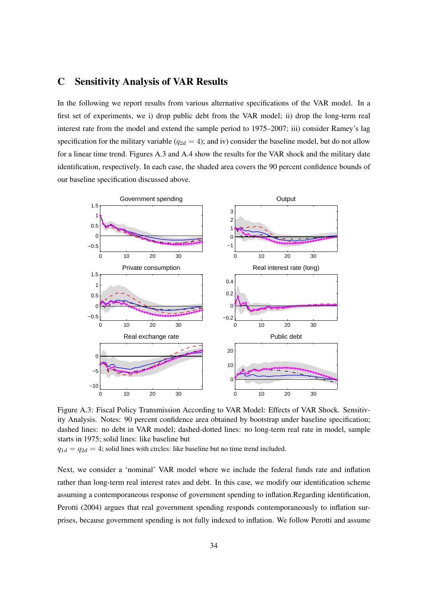## C Sensitivity Analysis of VAR Results

In the following we report results from various alternative specifications of the VAR model. In a first set of experiments, we i) drop public debt from the VAR model; ii) drop the long-term real interest rate from the model and extend the sample period to 1975–2007; iii) consider Ramey's lag specification for the military variable ( $q_{2d} = 4$ ); and iv) consider the baseline model, but do not allow for a linear time trend. Figures A.3 and A.4 show the results for the VAR shock and the military date identification, respectively. In each case, the shaded area covers the 90 percent confidence bounds of our baseline specification discussed above.



Figure A.3: Fiscal Policy Transmission According to VAR Model: Effects of VAR Shock. Sensitivity Analysis. Notes: 90 percent confidence area obtained by bootstrap under baseline specification; dashed lines: no debt in VAR model; dashed-dotted lines: no long-term real rate in model, sample starts in 1975; solid lines: like baseline but

 $q_{1d} = q_{2d} = 4$ ; solid lines with circles: like baseline but no time trend included.

Next, we consider a 'nominal' VAR model where we include the federal funds rate and inflation rather than long-term real interest rates and debt. In this case, we modify our identification scheme assuming a contemporaneous response of government spending to inflation.Regarding identification, Perotti (2004) argues that real government spending responds contemporaneously to inflation surprises, because government spending is not fully indexed to inflation. We follow Perotti and assume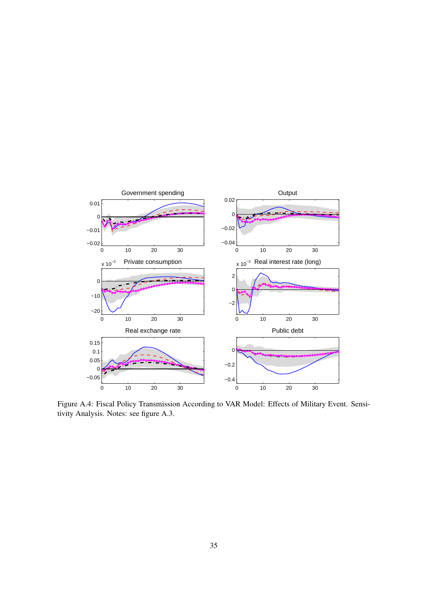

Figure A.4: Fiscal Policy Transmission According to VAR Model: Effects of Military Event. Sensitivity Analysis. Notes: see figure A.3.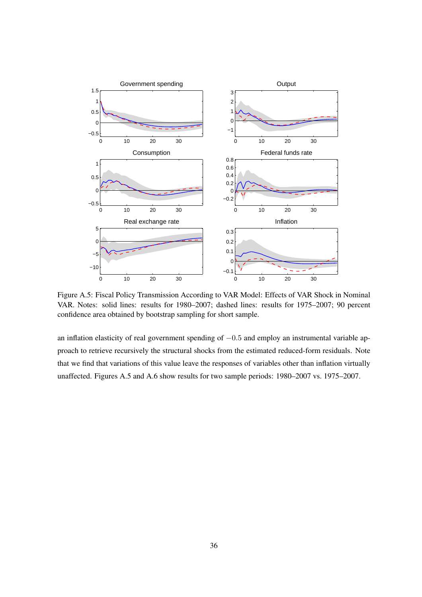

Figure A.5: Fiscal Policy Transmission According to VAR Model: Effects of VAR Shock in Nominal VAR. Notes: solid lines: results for 1980–2007; dashed lines: results for 1975–2007; 90 percent confidence area obtained by bootstrap sampling for short sample.

an inflation elasticity of real government spending of −0.5 and employ an instrumental variable approach to retrieve recursively the structural shocks from the estimated reduced-form residuals. Note that we find that variations of this value leave the responses of variables other than inflation virtually unaffected. Figures A.5 and A.6 show results for two sample periods: 1980–2007 vs. 1975–2007.